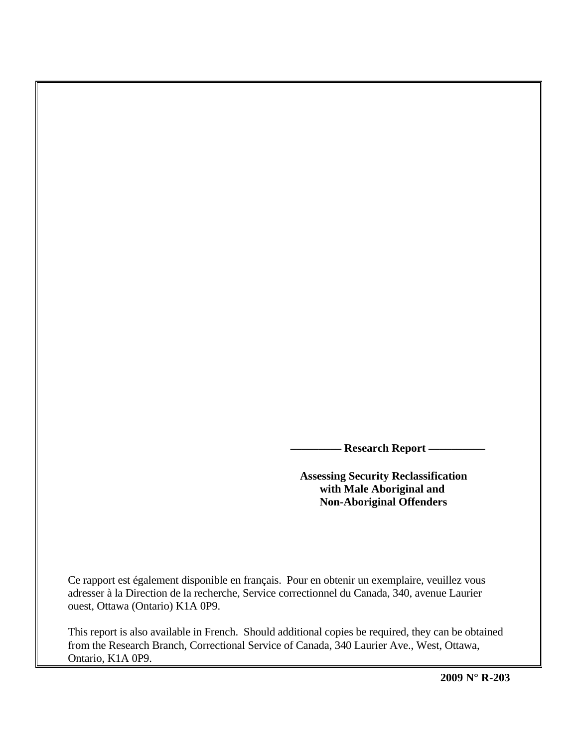- Research Report -

 **Assessing Security Reclassification with Male Aboriginal and Non-Aboriginal Offenders** 

Ce rapport est également disponible en français. Pour en obtenir un exemplaire, veuillez vous adresser à la Direction de la recherche, Service correctionnel du Canada, 340, avenue Laurier ouest, Ottawa (Ontario) K1A 0P9.

This report is also available in French. Should additional copies be required, they can be obtained from the Research Branch, Correctional Service of Canada, 340 Laurier Ave., West, Ottawa, Ontario, K1A 0P9.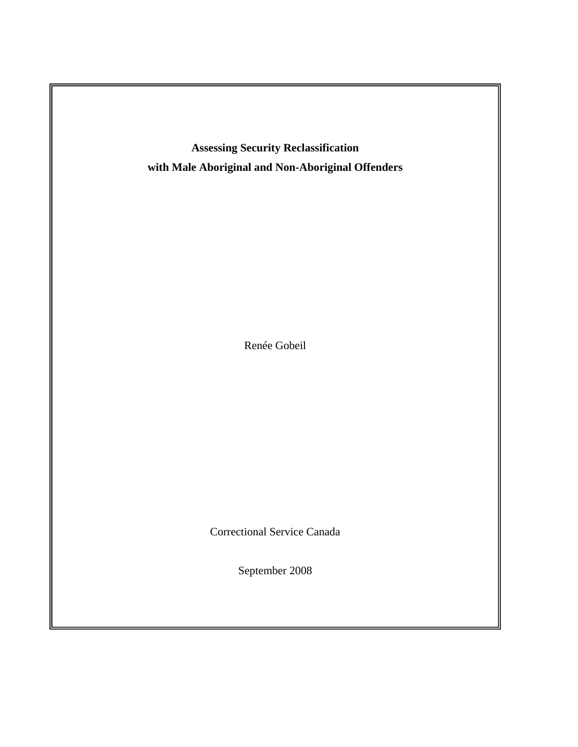

Renée Gobeil

Correctional Service Canada

September 2008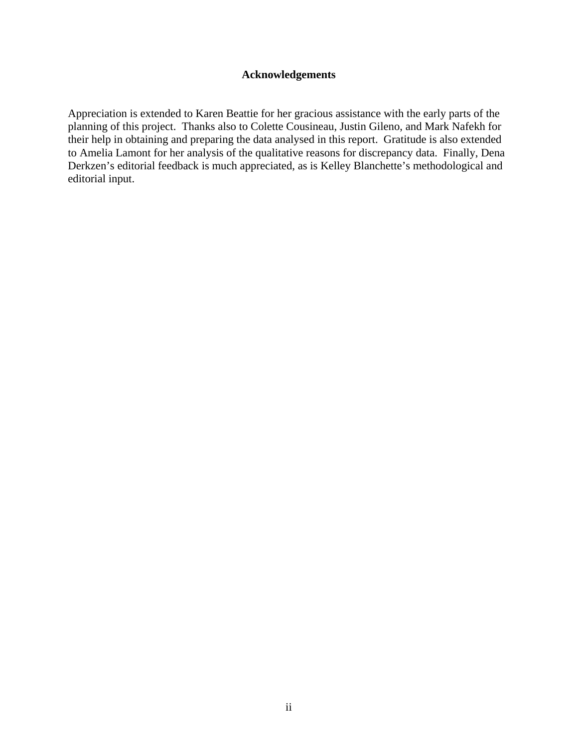# **Acknowledgements**

<span id="page-4-0"></span>Appreciation is extended to Karen Beattie for her gracious assistance with the early parts of the planning of this project. Thanks also to Colette Cousineau, Justin Gileno, and Mark Nafekh for their help in obtaining and preparing the data analysed in this report. Gratitude is also extended to Amelia Lamont for her analysis of the qualitative reasons for discrepancy data. Finally, Dena Derkzen's editorial feedback is much appreciated, as is Kelley Blanchette's methodological and editorial input.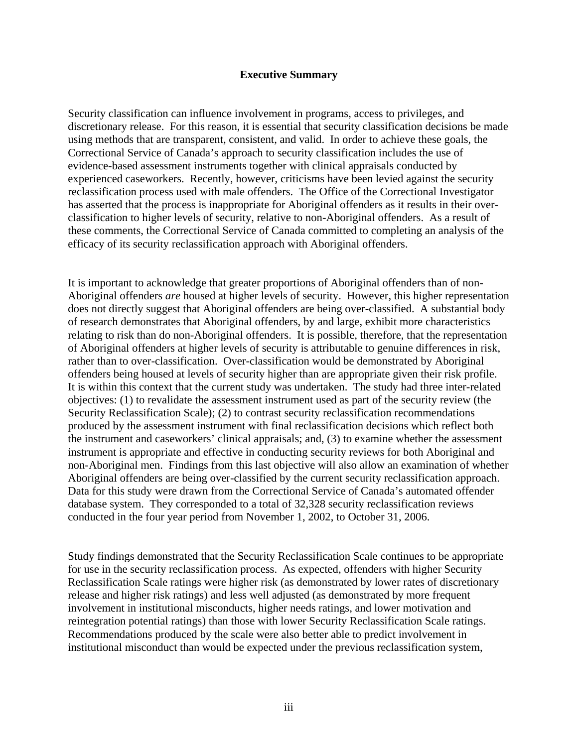# **Executive Summary**

<span id="page-6-0"></span>Security classification can influence involvement in programs, access to privileges, and discretionary release. For this reason, it is essential that security classification decisions be made using methods that are transparent, consistent, and valid. In order to achieve these goals, the Correctional Service of Canada's approach to security classification includes the use of evidence-based assessment instruments together with clinical appraisals conducted by experienced caseworkers. Recently, however, criticisms have been levied against the security reclassification process used with male offenders. The Office of the Correctional Investigator has asserted that the process is inappropriate for Aboriginal offenders as it results in their overclassification to higher levels of security, relative to non-Aboriginal offenders. As a result of these comments, the Correctional Service of Canada committed to completing an analysis of the efficacy of its security reclassification approach with Aboriginal offenders.

It is important to acknowledge that greater proportions of Aboriginal offenders than of non-Aboriginal offenders *are* housed at higher levels of security. However, this higher representation does not directly suggest that Aboriginal offenders are being over-classified. A substantial body of research demonstrates that Aboriginal offenders, by and large, exhibit more characteristics relating to risk than do non-Aboriginal offenders. It is possible, therefore, that the representation of Aboriginal offenders at higher levels of security is attributable to genuine differences in risk, rather than to over-classification. Over-classification would be demonstrated by Aboriginal offenders being housed at levels of security higher than are appropriate given their risk profile. It is within this context that the current study was undertaken. The study had three inter-related objectives: (1) to revalidate the assessment instrument used as part of the security review (the Security Reclassification Scale); (2) to contrast security reclassification recommendations produced by the assessment instrument with final reclassification decisions which reflect both the instrument and caseworkers' clinical appraisals; and, (3) to examine whether the assessment instrument is appropriate and effective in conducting security reviews for both Aboriginal and non-Aboriginal men. Findings from this last objective will also allow an examination of whether Aboriginal offenders are being over-classified by the current security reclassification approach. Data for this study were drawn from the Correctional Service of Canada's automated offender database system. They corresponded to a total of 32,328 security reclassification reviews conducted in the four year period from November 1, 2002, to October 31, 2006.

Study findings demonstrated that the Security Reclassification Scale continues to be appropriate for use in the security reclassification process. As expected, offenders with higher Security Reclassification Scale ratings were higher risk (as demonstrated by lower rates of discretionary release and higher risk ratings) and less well adjusted (as demonstrated by more frequent involvement in institutional misconducts, higher needs ratings, and lower motivation and reintegration potential ratings) than those with lower Security Reclassification Scale ratings. Recommendations produced by the scale were also better able to predict involvement in institutional misconduct than would be expected under the previous reclassification system,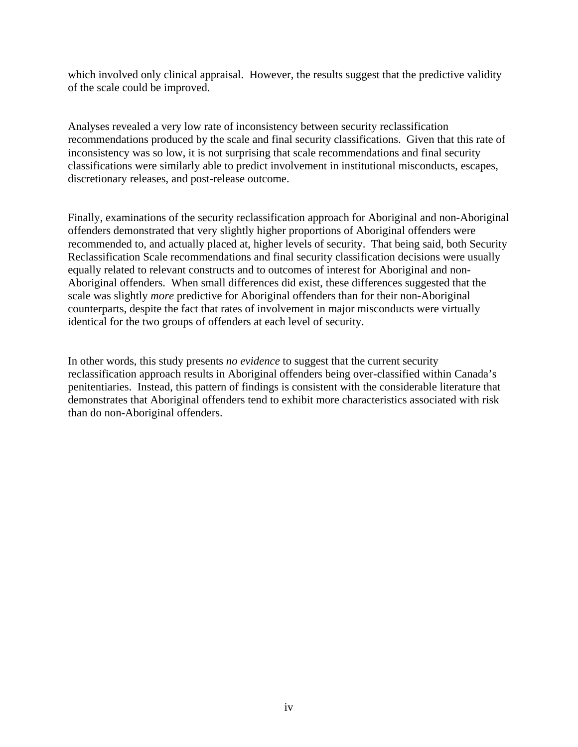which involved only clinical appraisal. However, the results suggest that the predictive validity of the scale could be improved.

Analyses revealed a very low rate of inconsistency between security reclassification recommendations produced by the scale and final security classifications. Given that this rate of inconsistency was so low, it is not surprising that scale recommendations and final security classifications were similarly able to predict involvement in institutional misconducts, escapes, discretionary releases, and post-release outcome.

Finally, examinations of the security reclassification approach for Aboriginal and non-Aboriginal offenders demonstrated that very slightly higher proportions of Aboriginal offenders were recommended to, and actually placed at, higher levels of security. That being said, both Security Reclassification Scale recommendations and final security classification decisions were usually equally related to relevant constructs and to outcomes of interest for Aboriginal and non-Aboriginal offenders. When small differences did exist, these differences suggested that the scale was slightly *more* predictive for Aboriginal offenders than for their non-Aboriginal counterparts, despite the fact that rates of involvement in major misconducts were virtually identical for the two groups of offenders at each level of security.

In other words, this study presents *no evidence* to suggest that the current security reclassification approach results in Aboriginal offenders being over-classified within Canada's penitentiaries. Instead, this pattern of findings is consistent with the considerable literature that demonstrates that Aboriginal offenders tend to exhibit more characteristics associated with risk than do non-Aboriginal offenders.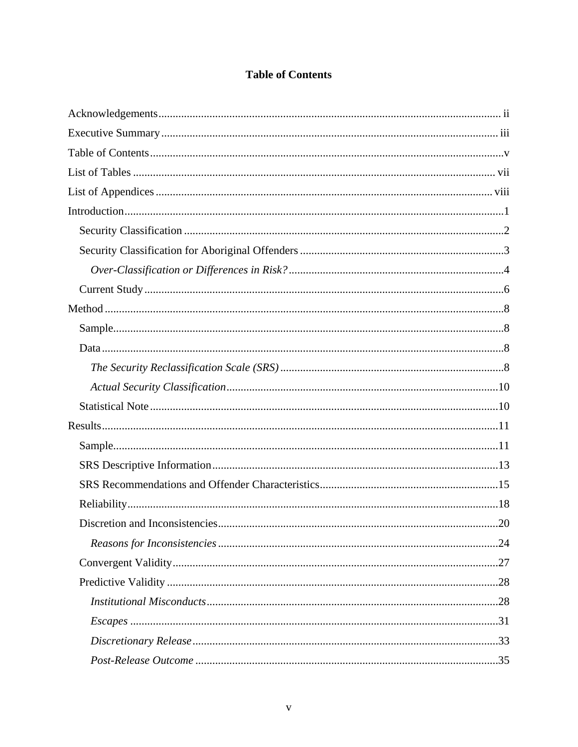# **Table of Contents**

<span id="page-9-0"></span>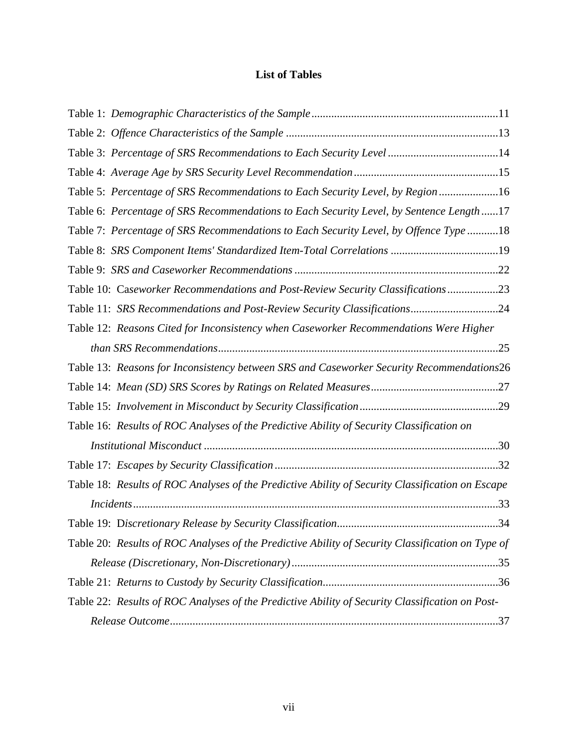# **List of Tables**

<span id="page-12-0"></span>

| Table 3: Percentage of SRS Recommendations to Each Security Level 14                              |  |
|---------------------------------------------------------------------------------------------------|--|
|                                                                                                   |  |
| Table 5: Percentage of SRS Recommendations to Each Security Level, by Region 16                   |  |
| Table 6: Percentage of SRS Recommendations to Each Security Level, by Sentence Length17           |  |
| Table 7: Percentage of SRS Recommendations to Each Security Level, by Offence Type 18             |  |
|                                                                                                   |  |
|                                                                                                   |  |
| Table 10: Caseworker Recommendations and Post-Review Security Classifications23                   |  |
| Table 11: SRS Recommendations and Post-Review Security Classifications24                          |  |
| Table 12: Reasons Cited for Inconsistency when Caseworker Recommendations Were Higher             |  |
|                                                                                                   |  |
| Table 13: Reasons for Inconsistency between SRS and Caseworker Security Recommendations26         |  |
|                                                                                                   |  |
|                                                                                                   |  |
| Table 16: Results of ROC Analyses of the Predictive Ability of Security Classification on         |  |
|                                                                                                   |  |
|                                                                                                   |  |
| Table 18: Results of ROC Analyses of the Predictive Ability of Security Classification on Escape  |  |
|                                                                                                   |  |
|                                                                                                   |  |
| Table 20: Results of ROC Analyses of the Predictive Ability of Security Classification on Type of |  |
|                                                                                                   |  |
|                                                                                                   |  |
| Table 22: Results of ROC Analyses of the Predictive Ability of Security Classification on Post-   |  |
|                                                                                                   |  |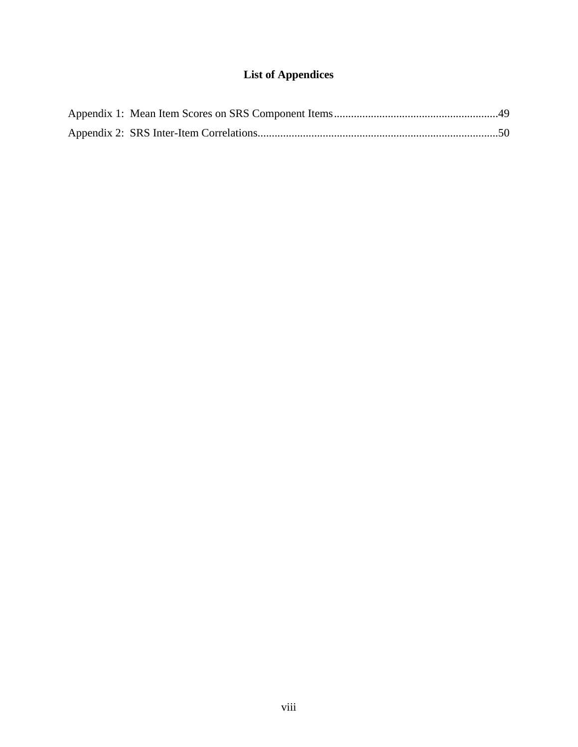# **List of Appendices**

<span id="page-14-0"></span>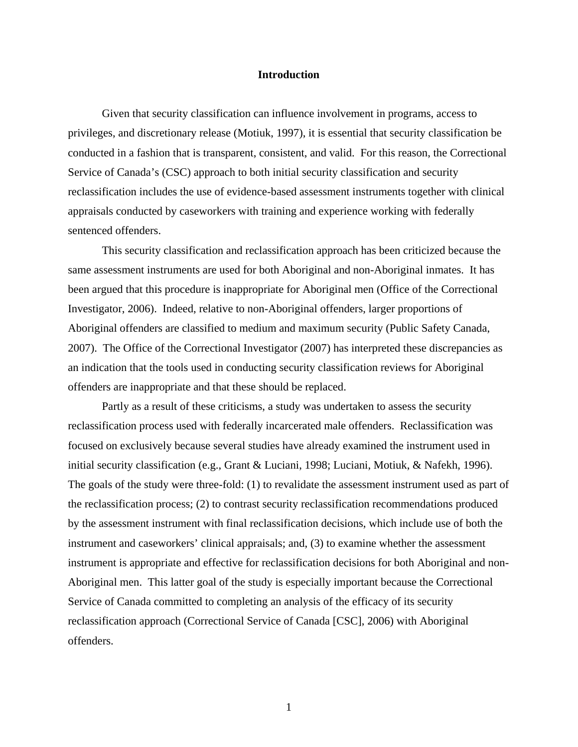#### **Introduction**

<span id="page-16-0"></span>Given that security classification can influence involvement in programs, access to privileges, and discretionary release (Motiuk, 1997), it is essential that security classification be conducted in a fashion that is transparent, consistent, and valid. For this reason, the Correctional Service of Canada's (CSC) approach to both initial security classification and security reclassification includes the use of evidence-based assessment instruments together with clinical appraisals conducted by caseworkers with training and experience working with federally sentenced offenders.

This security classification and reclassification approach has been criticized because the same assessment instruments are used for both Aboriginal and non-Aboriginal inmates. It has been argued that this procedure is inappropriate for Aboriginal men (Office of the Correctional Investigator, 2006). Indeed, relative to non-Aboriginal offenders, larger proportions of Aboriginal offenders are classified to medium and maximum security (Public Safety Canada, 2007). The Office of the Correctional Investigator (2007) has interpreted these discrepancies as an indication that the tools used in conducting security classification reviews for Aboriginal offenders are inappropriate and that these should be replaced.

Partly as a result of these criticisms, a study was undertaken to assess the security reclassification process used with federally incarcerated male offenders. Reclassification was focused on exclusively because several studies have already examined the instrument used in initial security classification (e.g., Grant & Luciani, 1998; Luciani, Motiuk, & Nafekh, 1996). The goals of the study were three-fold: (1) to revalidate the assessment instrument used as part of the reclassification process; (2) to contrast security reclassification recommendations produced by the assessment instrument with final reclassification decisions, which include use of both the instrument and caseworkers' clinical appraisals; and, (3) to examine whether the assessment instrument is appropriate and effective for reclassification decisions for both Aboriginal and non-Aboriginal men. This latter goal of the study is especially important because the Correctional Service of Canada committed to completing an analysis of the efficacy of its security reclassification approach (Correctional Service of Canada [CSC], 2006) with Aboriginal offenders.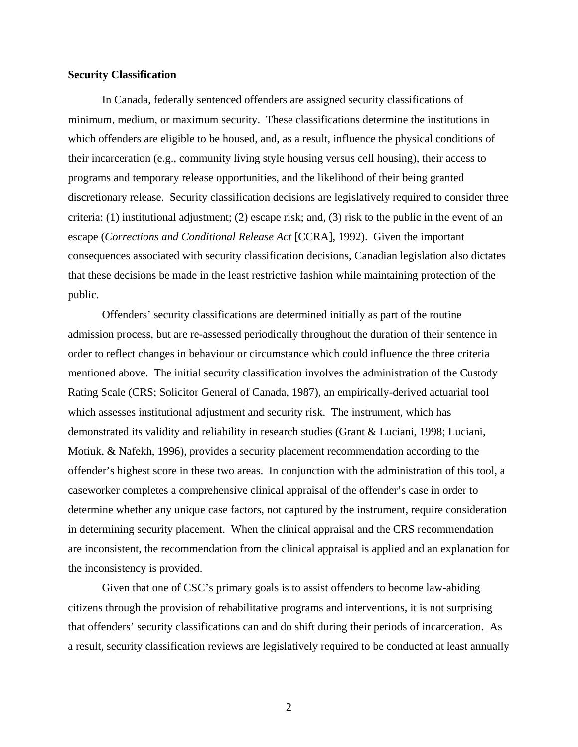## <span id="page-17-0"></span>**Security Classification**

In Canada, federally sentenced offenders are assigned security classifications of minimum, medium, or maximum security. These classifications determine the institutions in which offenders are eligible to be housed, and, as a result, influence the physical conditions of their incarceration (e.g., community living style housing versus cell housing), their access to programs and temporary release opportunities, and the likelihood of their being granted discretionary release. Security classification decisions are legislatively required to consider three criteria: (1) institutional adjustment; (2) escape risk; and, (3) risk to the public in the event of an escape (*Corrections and Conditional Release Act* [CCRA]*,* 1992). Given the important consequences associated with security classification decisions, Canadian legislation also dictates that these decisions be made in the least restrictive fashion while maintaining protection of the public.

Offenders' security classifications are determined initially as part of the routine admission process, but are re-assessed periodically throughout the duration of their sentence in order to reflect changes in behaviour or circumstance which could influence the three criteria mentioned above. The initial security classification involves the administration of the Custody Rating Scale (CRS; Solicitor General of Canada, 1987), an empirically-derived actuarial tool which assesses institutional adjustment and security risk. The instrument, which has demonstrated its validity and reliability in research studies (Grant & Luciani, 1998; Luciani, Motiuk, & Nafekh, 1996), provides a security placement recommendation according to the offender's highest score in these two areas. In conjunction with the administration of this tool, a caseworker completes a comprehensive clinical appraisal of the offender's case in order to determine whether any unique case factors, not captured by the instrument, require consideration in determining security placement. When the clinical appraisal and the CRS recommendation are inconsistent, the recommendation from the clinical appraisal is applied and an explanation for the inconsistency is provided.

Given that one of CSC's primary goals is to assist offenders to become law-abiding citizens through the provision of rehabilitative programs and interventions, it is not surprising that offenders' security classifications can and do shift during their periods of incarceration. As a result, security classification reviews are legislatively required to be conducted at least annually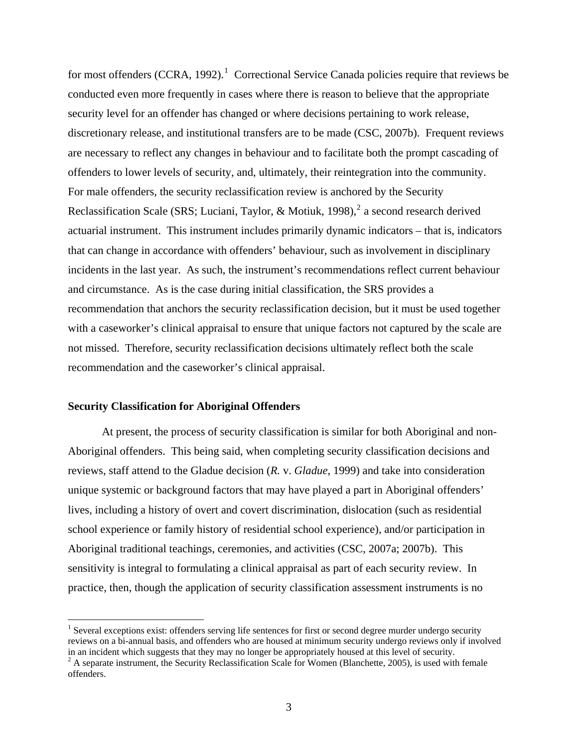<span id="page-18-0"></span>for most offenders (CCRA, [1](#page-18-0)992).<sup>1</sup> Correctional Service Canada policies require that reviews be conducted even more frequently in cases where there is reason to believe that the appropriate security level for an offender has changed or where decisions pertaining to work release, discretionary release, and institutional transfers are to be made (CSC, 2007b). Frequent reviews are necessary to reflect any changes in behaviour and to facilitate both the prompt cascading of offenders to lower levels of security, and, ultimately, their reintegration into the community. For male offenders, the security reclassification review is anchored by the Security Reclassification Scale (SRS; Luciani, Taylor, & Motiuk, 1998),<sup>[2](#page-18-0)</sup> a second research derived actuarial instrument. This instrument includes primarily dynamic indicators – that is, indicators that can change in accordance with offenders' behaviour, such as involvement in disciplinary incidents in the last year. As such, the instrument's recommendations reflect current behaviour and circumstance. As is the case during initial classification, the SRS provides a recommendation that anchors the security reclassification decision, but it must be used together with a caseworker's clinical appraisal to ensure that unique factors not captured by the scale are not missed. Therefore, security reclassification decisions ultimately reflect both the scale recommendation and the caseworker's clinical appraisal.

#### **Security Classification for Aboriginal Offenders**

 $\overline{a}$ 

At present, the process of security classification is similar for both Aboriginal and non-Aboriginal offenders. This being said, when completing security classification decisions and reviews, staff attend to the Gladue decision (*R.* v. *Gladue*, 1999) and take into consideration unique systemic or background factors that may have played a part in Aboriginal offenders' lives, including a history of overt and covert discrimination, dislocation (such as residential school experience or family history of residential school experience), and/or participation in Aboriginal traditional teachings, ceremonies, and activities (CSC, 2007a; 2007b). This sensitivity is integral to formulating a clinical appraisal as part of each security review. In practice, then, though the application of security classification assessment instruments is no

<sup>&</sup>lt;sup>1</sup> Several exceptions exist: offenders serving life sentences for first or second degree murder undergo security reviews on a bi-annual basis, and offenders who are housed at minimum security undergo reviews only if involved in an incident which suggests that they may no longer be appropriately housed at this level of security. 2

 $A$  separate instrument, the Security Reclassification Scale for Women (Blanchette, 2005), is used with female offenders.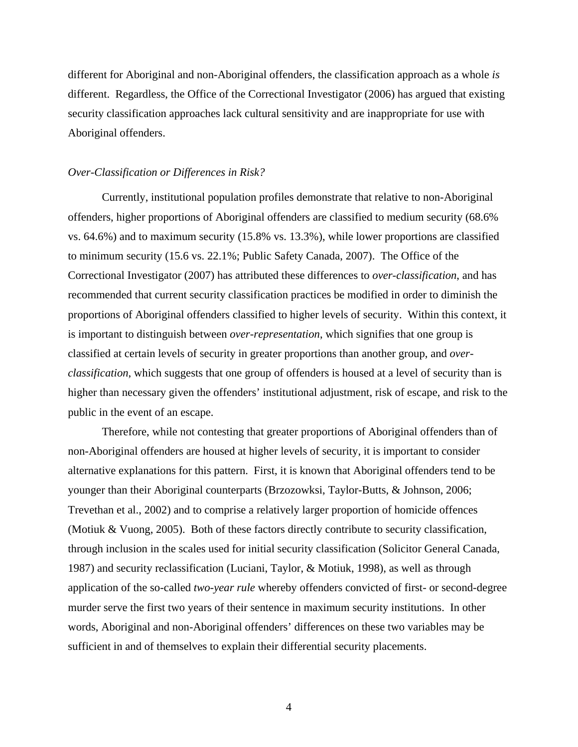<span id="page-19-0"></span>different for Aboriginal and non-Aboriginal offenders, the classification approach as a whole *is* different. Regardless, the Office of the Correctional Investigator (2006) has argued that existing security classification approaches lack cultural sensitivity and are inappropriate for use with Aboriginal offenders.

#### *Over-Classification or Differences in Risk?*

Currently, institutional population profiles demonstrate that relative to non-Aboriginal offenders, higher proportions of Aboriginal offenders are classified to medium security (68.6% vs. 64.6%) and to maximum security (15.8% vs. 13.3%), while lower proportions are classified to minimum security (15.6 vs. 22.1%; Public Safety Canada, 2007). The Office of the Correctional Investigator (2007) has attributed these differences to *over-classification*, and has recommended that current security classification practices be modified in order to diminish the proportions of Aboriginal offenders classified to higher levels of security. Within this context, it is important to distinguish between *over-representation*, which signifies that one group is classified at certain levels of security in greater proportions than another group, and *overclassification*, which suggests that one group of offenders is housed at a level of security than is higher than necessary given the offenders' institutional adjustment, risk of escape, and risk to the public in the event of an escape.

Therefore, while not contesting that greater proportions of Aboriginal offenders than of non-Aboriginal offenders are housed at higher levels of security, it is important to consider alternative explanations for this pattern. First, it is known that Aboriginal offenders tend to be younger than their Aboriginal counterparts (Brzozowksi, Taylor-Butts, & Johnson, 2006; Trevethan et al., 2002) and to comprise a relatively larger proportion of homicide offences (Motiuk & Vuong, 2005). Both of these factors directly contribute to security classification, through inclusion in the scales used for initial security classification (Solicitor General Canada, 1987) and security reclassification (Luciani, Taylor, & Motiuk, 1998), as well as through application of the so-called *two-year rule* whereby offenders convicted of first- or second-degree murder serve the first two years of their sentence in maximum security institutions. In other words, Aboriginal and non-Aboriginal offenders' differences on these two variables may be sufficient in and of themselves to explain their differential security placements.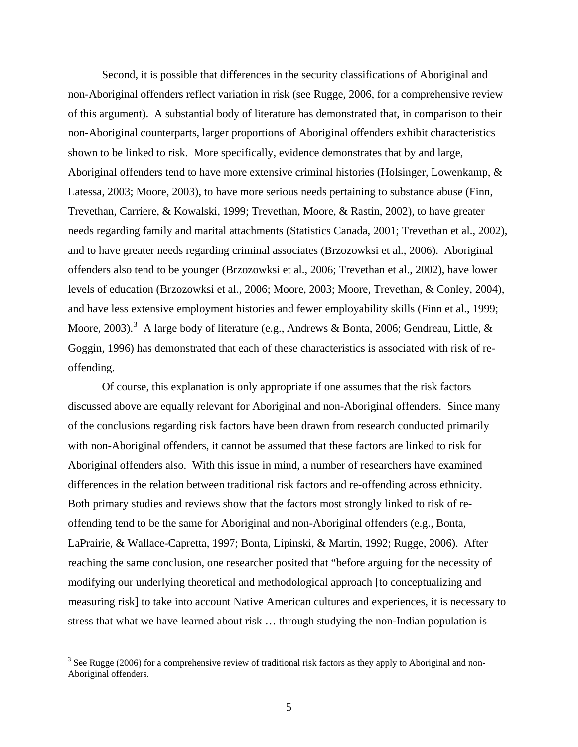<span id="page-20-0"></span>Second, it is possible that differences in the security classifications of Aboriginal and non-Aboriginal offenders reflect variation in risk (see Rugge, 2006, for a comprehensive review of this argument). A substantial body of literature has demonstrated that, in comparison to their non-Aboriginal counterparts, larger proportions of Aboriginal offenders exhibit characteristics shown to be linked to risk. More specifically, evidence demonstrates that by and large, Aboriginal offenders tend to have more extensive criminal histories (Holsinger, Lowenkamp, & Latessa, 2003; Moore, 2003), to have more serious needs pertaining to substance abuse (Finn, Trevethan, Carriere, & Kowalski, 1999; Trevethan, Moore, & Rastin, 2002), to have greater needs regarding family and marital attachments (Statistics Canada, 2001; Trevethan et al., 2002), and to have greater needs regarding criminal associates (Brzozowksi et al., 2006). Aboriginal offenders also tend to be younger (Brzozowksi et al., 2006; Trevethan et al., 2002), have lower levels of education (Brzozowksi et al., 2006; Moore, 2003; Moore, Trevethan, & Conley, 2004), and have less extensive employment histories and fewer employability skills (Finn et al., 1999; Moore, 200[3](#page-20-0)).<sup>3</sup> A large body of literature (e.g., Andrews & Bonta, 2006; Gendreau, Little, & Goggin, 1996) has demonstrated that each of these characteristics is associated with risk of reoffending.

Of course, this explanation is only appropriate if one assumes that the risk factors discussed above are equally relevant for Aboriginal and non-Aboriginal offenders. Since many of the conclusions regarding risk factors have been drawn from research conducted primarily with non-Aboriginal offenders, it cannot be assumed that these factors are linked to risk for Aboriginal offenders also. With this issue in mind, a number of researchers have examined differences in the relation between traditional risk factors and re-offending across ethnicity. Both primary studies and reviews show that the factors most strongly linked to risk of reoffending tend to be the same for Aboriginal and non-Aboriginal offenders (e.g., Bonta, LaPrairie, & Wallace-Capretta, 1997; Bonta, Lipinski, & Martin, 1992; Rugge, 2006). After reaching the same conclusion, one researcher posited that "before arguing for the necessity of modifying our underlying theoretical and methodological approach [to conceptualizing and measuring risk] to take into account Native American cultures and experiences, it is necessary to stress that what we have learned about risk … through studying the non-Indian population is

 $\overline{a}$ 

 $3$  See Rugge (2006) for a comprehensive review of traditional risk factors as they apply to Aboriginal and non-Aboriginal offenders.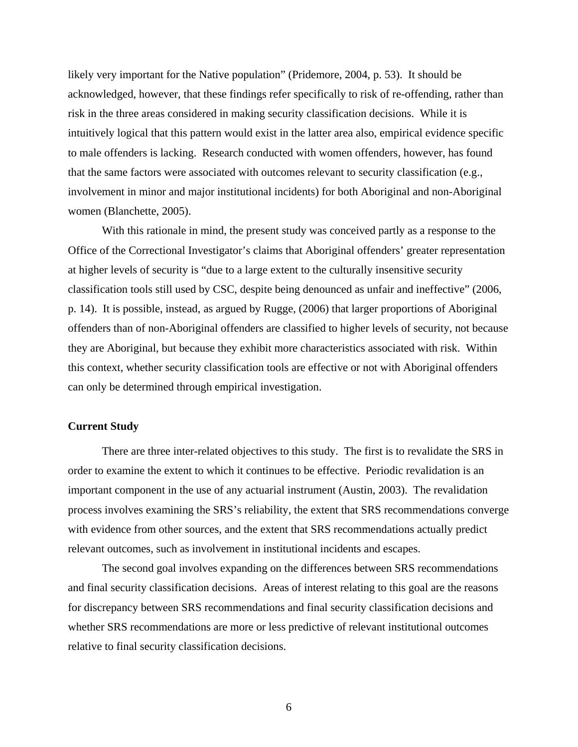<span id="page-21-0"></span>likely very important for the Native population" (Pridemore, 2004, p. 53). It should be acknowledged, however, that these findings refer specifically to risk of re-offending, rather than risk in the three areas considered in making security classification decisions. While it is intuitively logical that this pattern would exist in the latter area also, empirical evidence specific to male offenders is lacking. Research conducted with women offenders, however, has found that the same factors were associated with outcomes relevant to security classification (e.g., involvement in minor and major institutional incidents) for both Aboriginal and non-Aboriginal women (Blanchette, 2005).

With this rationale in mind, the present study was conceived partly as a response to the Office of the Correctional Investigator's claims that Aboriginal offenders' greater representation at higher levels of security is "due to a large extent to the culturally insensitive security classification tools still used by CSC, despite being denounced as unfair and ineffective" (2006, p. 14). It is possible, instead, as argued by Rugge, (2006) that larger proportions of Aboriginal offenders than of non-Aboriginal offenders are classified to higher levels of security, not because they are Aboriginal, but because they exhibit more characteristics associated with risk. Within this context, whether security classification tools are effective or not with Aboriginal offenders can only be determined through empirical investigation.

# **Current Study**

There are three inter-related objectives to this study. The first is to revalidate the SRS in order to examine the extent to which it continues to be effective. Periodic revalidation is an important component in the use of any actuarial instrument (Austin, 2003). The revalidation process involves examining the SRS's reliability, the extent that SRS recommendations converge with evidence from other sources, and the extent that SRS recommendations actually predict relevant outcomes, such as involvement in institutional incidents and escapes.

The second goal involves expanding on the differences between SRS recommendations and final security classification decisions. Areas of interest relating to this goal are the reasons for discrepancy between SRS recommendations and final security classification decisions and whether SRS recommendations are more or less predictive of relevant institutional outcomes relative to final security classification decisions.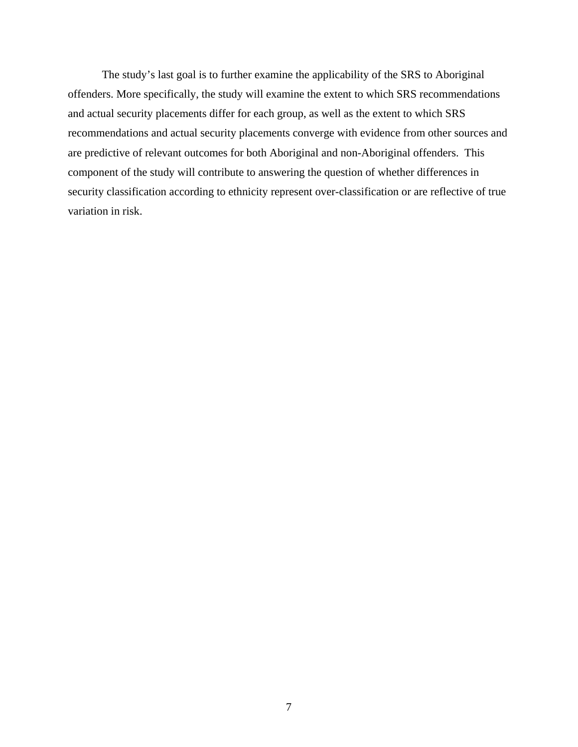The study's last goal is to further examine the applicability of the SRS to Aboriginal offenders. More specifically, the study will examine the extent to which SRS recommendations and actual security placements differ for each group, as well as the extent to which SRS recommendations and actual security placements converge with evidence from other sources and are predictive of relevant outcomes for both Aboriginal and non-Aboriginal offenders. This component of the study will contribute to answering the question of whether differences in security classification according to ethnicity represent over-classification or are reflective of true variation in risk.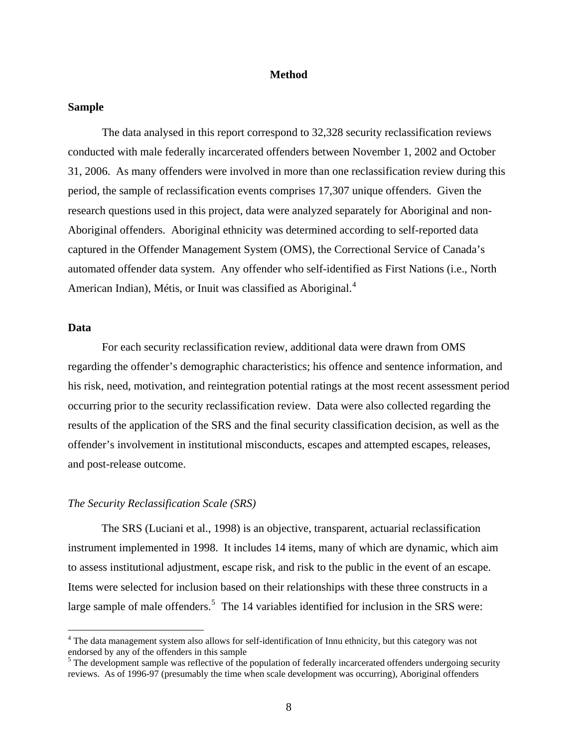#### **Method**

### <span id="page-23-0"></span>**Sample**

The data analysed in this report correspond to 32,328 security reclassification reviews conducted with male federally incarcerated offenders between November 1, 2002 and October 31, 2006. As many offenders were involved in more than one reclassification review during this period, the sample of reclassification events comprises 17,307 unique offenders. Given the research questions used in this project, data were analyzed separately for Aboriginal and non-Aboriginal offenders. Aboriginal ethnicity was determined according to self-reported data captured in the Offender Management System (OMS), the Correctional Service of Canada's automated offender data system. Any offender who self-identified as First Nations (i.e., North American Indian), Métis, or Inuit was classified as Aboriginal.<sup>[4](#page-23-0)</sup>

# **Data**

 $\overline{a}$ 

For each security reclassification review, additional data were drawn from OMS regarding the offender's demographic characteristics; his offence and sentence information, and his risk, need, motivation, and reintegration potential ratings at the most recent assessment period occurring prior to the security reclassification review. Data were also collected regarding the results of the application of the SRS and the final security classification decision, as well as the offender's involvement in institutional misconducts, escapes and attempted escapes, releases, and post-release outcome.

#### *The Security Reclassification Scale (SRS)*

The SRS (Luciani et al., 1998) is an objective, transparent, actuarial reclassification instrument implemented in 1998. It includes 14 items, many of which are dynamic, which aim to assess institutional adjustment, escape risk, and risk to the public in the event of an escape. Items were selected for inclusion based on their relationships with these three constructs in a large sample of male offenders.<sup>[5](#page-23-0)</sup> The 14 variables identified for inclusion in the SRS were:

<sup>&</sup>lt;sup>4</sup> The data management system also allows for self-identification of Innu ethnicity, but this category was not endorsed by any of the offenders in this sample<br><sup>5</sup> The development sample was reflective of the population of federally incarcerated offenders undergoing security

reviews. As of 1996-97 (presumably the time when scale development was occurring), Aboriginal offenders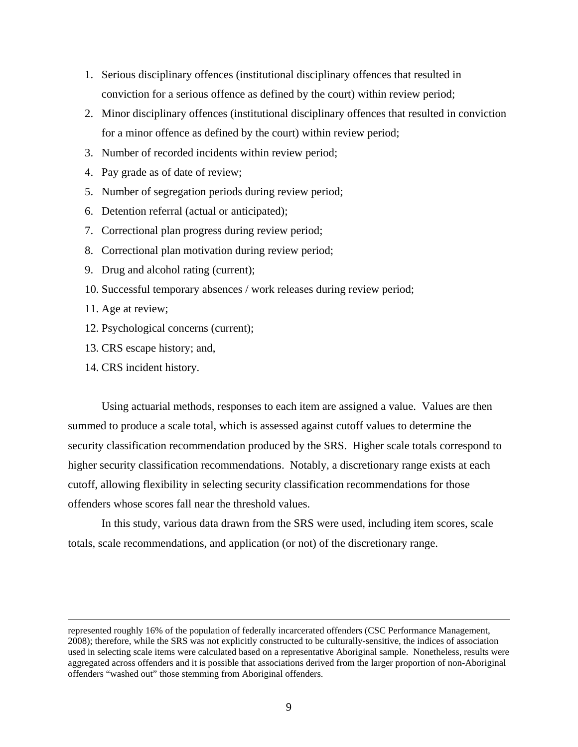- 1. Serious disciplinary offences (institutional disciplinary offences that resulted in conviction for a serious offence as defined by the court) within review period;
- 2. Minor disciplinary offences (institutional disciplinary offences that resulted in conviction for a minor offence as defined by the court) within review period;
- 3. Number of recorded incidents within review period;
- 4. Pay grade as of date of review;
- 5. Number of segregation periods during review period;
- 6. Detention referral (actual or anticipated);
- 7. Correctional plan progress during review period;
- 8. Correctional plan motivation during review period;
- 9. Drug and alcohol rating (current);
- 10. Successful temporary absences / work releases during review period;
- 11. Age at review;
- 12. Psychological concerns (current);
- 13. CRS escape history; and,
- 14. CRS incident history.

Using actuarial methods, responses to each item are assigned a value. Values are then summed to produce a scale total, which is assessed against cutoff values to determine the security classification recommendation produced by the SRS. Higher scale totals correspond to higher security classification recommendations. Notably, a discretionary range exists at each cutoff, allowing flexibility in selecting security classification recommendations for those offenders whose scores fall near the threshold values.

In this study, various data drawn from the SRS were used, including item scores, scale totals, scale recommendations, and application (or not) of the discretionary range.

represented roughly 16% of the population of federally incarcerated offenders (CSC Performance Management, 2008); therefore, while the SRS was not explicitly constructed to be culturally-sensitive, the indices of association used in selecting scale items were calculated based on a representative Aboriginal sample. Nonetheless, results were aggregated across offenders and it is possible that associations derived from the larger proportion of non-Aboriginal offenders "washed out" those stemming from Aboriginal offenders.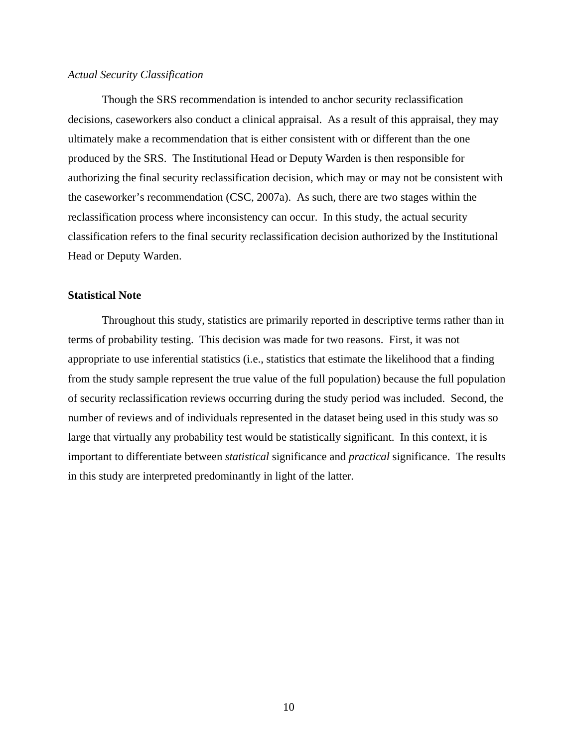#### <span id="page-25-0"></span>*Actual Security Classification*

Though the SRS recommendation is intended to anchor security reclassification decisions, caseworkers also conduct a clinical appraisal. As a result of this appraisal, they may ultimately make a recommendation that is either consistent with or different than the one produced by the SRS. The Institutional Head or Deputy Warden is then responsible for authorizing the final security reclassification decision, which may or may not be consistent with the caseworker's recommendation (CSC, 2007a). As such, there are two stages within the reclassification process where inconsistency can occur. In this study, the actual security classification refers to the final security reclassification decision authorized by the Institutional Head or Deputy Warden.

#### **Statistical Note**

Throughout this study, statistics are primarily reported in descriptive terms rather than in terms of probability testing. This decision was made for two reasons. First, it was not appropriate to use inferential statistics (i.e., statistics that estimate the likelihood that a finding from the study sample represent the true value of the full population) because the full population of security reclassification reviews occurring during the study period was included. Second, the number of reviews and of individuals represented in the dataset being used in this study was so large that virtually any probability test would be statistically significant. In this context, it is important to differentiate between *statistical* significance and *practical* significance. The results in this study are interpreted predominantly in light of the latter.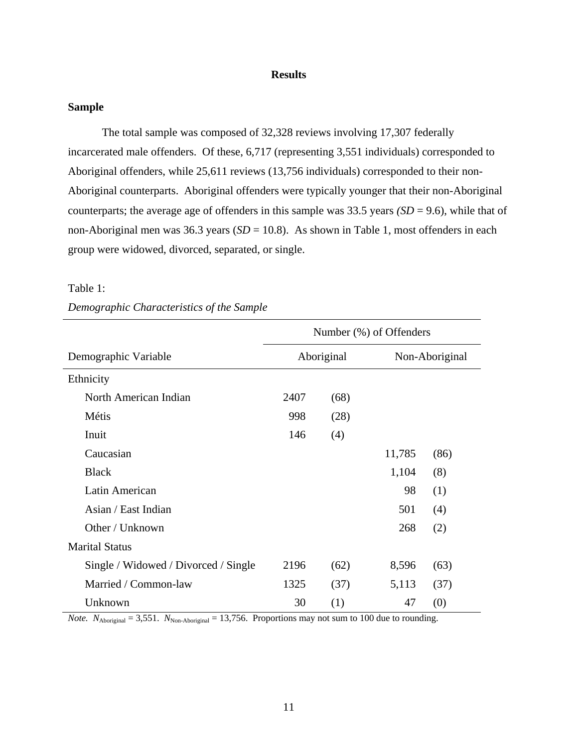# **Results**

# <span id="page-26-0"></span>**Sample**

The total sample was composed of 32,328 reviews involving 17,307 federally incarcerated male offenders. Of these, 6,717 (representing 3,551 individuals) corresponded to Aboriginal offenders, while 25,611 reviews (13,756 individuals) corresponded to their non-Aboriginal counterparts. Aboriginal offenders were typically younger that their non-Aboriginal counterparts; the average age of offenders in this sample was 33.5 years *(SD* = 9.6), while that of non-Aboriginal men was 36.3 years (*SD* = 10.8). As shown in Table 1, most offenders in each group were widowed, divorced, separated, or single.

#### Table 1:

|                                      | Number (%) of Offenders |            |        |                |  |
|--------------------------------------|-------------------------|------------|--------|----------------|--|
| Demographic Variable                 |                         | Aboriginal |        | Non-Aboriginal |  |
| Ethnicity                            |                         |            |        |                |  |
| North American Indian                | 2407                    | (68)       |        |                |  |
| Métis                                | 998                     | (28)       |        |                |  |
| Inuit                                | 146                     | (4)        |        |                |  |
| Caucasian                            |                         |            | 11,785 | (86)           |  |
| <b>Black</b>                         |                         |            | 1,104  | (8)            |  |
| Latin American                       |                         |            | 98     | (1)            |  |
| Asian / East Indian                  |                         |            | 501    | (4)            |  |
| Other / Unknown                      |                         |            | 268    | (2)            |  |
| <b>Marital Status</b>                |                         |            |        |                |  |
| Single / Widowed / Divorced / Single | 2196                    | (62)       | 8,596  | (63)           |  |
| Married / Common-law                 | 1325                    | (37)       | 5,113  | (37)           |  |
| Unknown                              | 30                      | (1)        | 47     | (0)            |  |

# *Demographic Characteristics of the Sample*

*Note.*  $N_{\text{Aboriginal}} = 3,551$ .  $N_{\text{Non-Aboriginal}} = 13,756$ . Proportions may not sum to 100 due to rounding.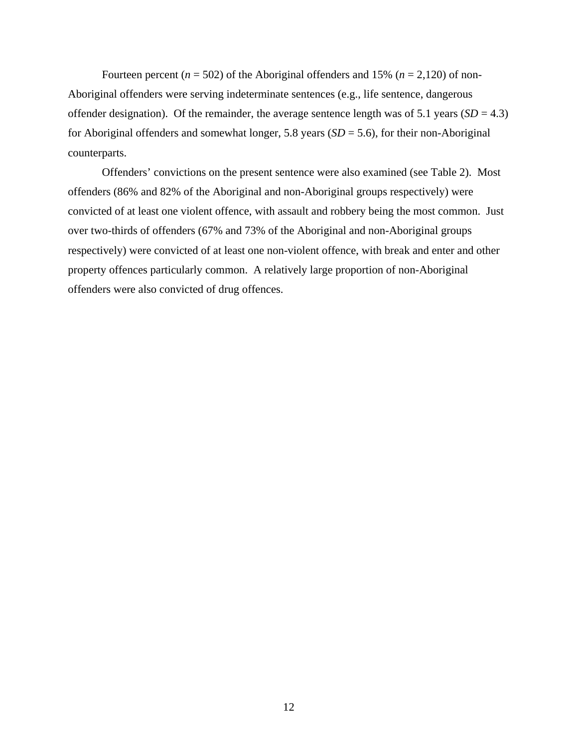Fourteen percent ( $n = 502$ ) of the Aboriginal offenders and 15% ( $n = 2,120$ ) of non-Aboriginal offenders were serving indeterminate sentences (e.g., life sentence, dangerous offender designation). Of the remainder, the average sentence length was of 5.1 years  $(SD = 4.3)$ for Aboriginal offenders and somewhat longer, 5.8 years (*SD* = 5.6), for their non-Aboriginal counterparts.

Offenders' convictions on the present sentence were also examined (see Table 2). Most offenders (86% and 82% of the Aboriginal and non-Aboriginal groups respectively) were convicted of at least one violent offence, with assault and robbery being the most common. Just over two-thirds of offenders (67% and 73% of the Aboriginal and non-Aboriginal groups respectively) were convicted of at least one non-violent offence, with break and enter and other property offences particularly common. A relatively large proportion of non-Aboriginal offenders were also convicted of drug offences.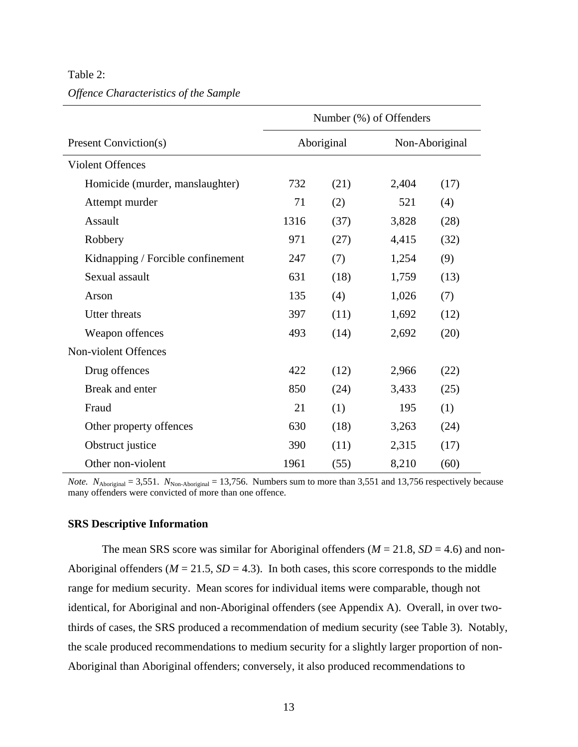<span id="page-28-0"></span>Table 2:

|  | Offence Characteristics of the Sample |  |  |
|--|---------------------------------------|--|--|
|  |                                       |  |  |

|                                   | Number (%) of Offenders |            |       |                |
|-----------------------------------|-------------------------|------------|-------|----------------|
| Present Conviction(s)             |                         | Aboriginal |       | Non-Aboriginal |
| <b>Violent Offences</b>           |                         |            |       |                |
| Homicide (murder, manslaughter)   | 732                     | (21)       | 2,404 | (17)           |
| Attempt murder                    | 71                      | (2)        | 521   | (4)            |
| Assault                           | 1316                    | (37)       | 3,828 | (28)           |
| Robbery                           | 971                     | (27)       | 4,415 | (32)           |
| Kidnapping / Forcible confinement | 247                     | (7)        | 1,254 | (9)            |
| Sexual assault                    | 631                     | (18)       | 1,759 | (13)           |
| Arson                             | 135                     | (4)        | 1,026 | (7)            |
| <b>Utter threats</b>              | 397                     | (11)       | 1,692 | (12)           |
| Weapon offences                   | 493                     | (14)       | 2,692 | (20)           |
| Non-violent Offences              |                         |            |       |                |
| Drug offences                     | 422                     | (12)       | 2,966 | (22)           |
| Break and enter                   | 850                     | (24)       | 3,433 | (25)           |
| Fraud                             | 21                      | (1)        | 195   | (1)            |
| Other property offences           | 630                     | (18)       | 3,263 | (24)           |
| Obstruct justice                  | 390                     | (11)       | 2,315 | (17)           |
| Other non-violent                 | 1961                    | (55)       | 8,210 | (60)           |

*Note.*  $N_{\text{Aboriginal}} = 3,551$ .  $N_{\text{Non-Aboriginal}} = 13,756$ . Numbers sum to more than 3,551 and 13,756 respectively because many offenders were convicted of more than one offence.

# **SRS Descriptive Information**

The mean SRS score was similar for Aboriginal offenders ( $M = 21.8$ ,  $SD = 4.6$ ) and non-Aboriginal offenders ( $M = 21.5$ ,  $SD = 4.3$ ). In both cases, this score corresponds to the middle range for medium security. Mean scores for individual items were comparable, though not identical, for Aboriginal and non-Aboriginal offenders (see Appendix A). Overall, in over twothirds of cases, the SRS produced a recommendation of medium security (see Table 3). Notably, the scale produced recommendations to medium security for a slightly larger proportion of non-Aboriginal than Aboriginal offenders; conversely, it also produced recommendations to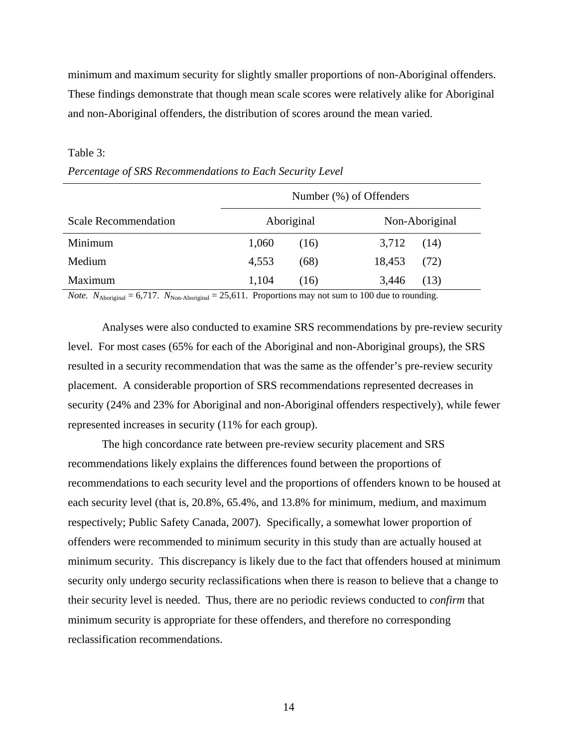<span id="page-29-0"></span>minimum and maximum security for slightly smaller proportions of non-Aboriginal offenders. These findings demonstrate that though mean scale scores were relatively alike for Aboriginal and non-Aboriginal offenders, the distribution of scores around the mean varied.

#### Table 3:

|                             | Number (%) of Offenders |      |        |                |
|-----------------------------|-------------------------|------|--------|----------------|
| <b>Scale Recommendation</b> | Aboriginal              |      |        | Non-Aboriginal |
| Minimum                     | 1,060                   | (16) | 3,712  | (14)           |
| Medium                      | 4,553                   | (68) | 18,453 | (72)           |
| Maximum                     | 1,104                   | (16) | 3,446  | (13)           |

| Percentage of SRS Recommendations to Each Security Level |  |  |  |  |  |  |  |
|----------------------------------------------------------|--|--|--|--|--|--|--|
|----------------------------------------------------------|--|--|--|--|--|--|--|

*Note.*  $N_{\text{Aboriginal}} = 6,717$ .  $N_{\text{Non-Aboriginal}} = 25,611$ . Proportions may not sum to 100 due to rounding.

Analyses were also conducted to examine SRS recommendations by pre-review security level. For most cases (65% for each of the Aboriginal and non-Aboriginal groups), the SRS resulted in a security recommendation that was the same as the offender's pre-review security placement. A considerable proportion of SRS recommendations represented decreases in security (24% and 23% for Aboriginal and non-Aboriginal offenders respectively), while fewer represented increases in security (11% for each group).

The high concordance rate between pre-review security placement and SRS recommendations likely explains the differences found between the proportions of recommendations to each security level and the proportions of offenders known to be housed at each security level (that is, 20.8%, 65.4%, and 13.8% for minimum, medium, and maximum respectively; Public Safety Canada, 2007). Specifically, a somewhat lower proportion of offenders were recommended to minimum security in this study than are actually housed at minimum security. This discrepancy is likely due to the fact that offenders housed at minimum security only undergo security reclassifications when there is reason to believe that a change to their security level is needed. Thus, there are no periodic reviews conducted to *confirm* that minimum security is appropriate for these offenders, and therefore no corresponding reclassification recommendations.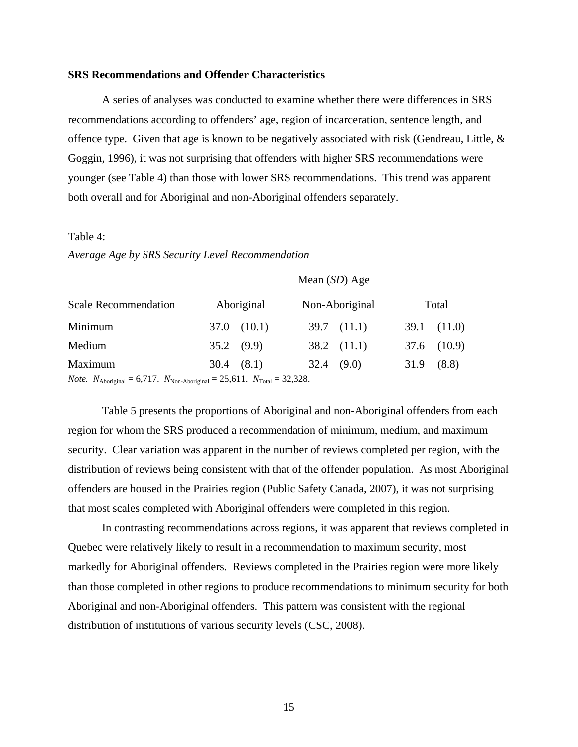#### <span id="page-30-0"></span>**SRS Recommendations and Offender Characteristics**

A series of analyses was conducted to examine whether there were differences in SRS recommendations according to offenders' age, region of incarceration, sentence length, and offence type. Given that age is known to be negatively associated with risk (Gendreau, Little,  $\&$ Goggin, 1996), it was not surprising that offenders with higher SRS recommendations were younger (see Table 4) than those with lower SRS recommendations. This trend was apparent both overall and for Aboriginal and non-Aboriginal offenders separately.

#### Table 4:

*Average Age by SRS Security Level Recommendation*

|                             | Mean $(SD)$ Age |                 |                 |  |  |  |
|-----------------------------|-----------------|-----------------|-----------------|--|--|--|
| <b>Scale Recommendation</b> | Aboriginal      | Non-Aboriginal  | Total           |  |  |  |
| Minimum                     | $37.0$ $(10.1)$ | $39.7$ $(11.1)$ | $39.1$ $(11.0)$ |  |  |  |
| Medium                      | $35.2$ (9.9)    | $38.2$ $(11.1)$ | (10.9)<br>37.6  |  |  |  |
| Maximum                     | 30.4<br>(8.1)   | $32.4$ (9.0)    | (8.8)<br>31.9   |  |  |  |

*Note.*  $N_{\text{Aboriginal}} = 6,717$ .  $N_{\text{Non-Aboriginal}} = 25,611$ .  $N_{\text{Total}} = 32,328$ .

Table 5 presents the proportions of Aboriginal and non-Aboriginal offenders from each region for whom the SRS produced a recommendation of minimum, medium, and maximum security. Clear variation was apparent in the number of reviews completed per region, with the distribution of reviews being consistent with that of the offender population. As most Aboriginal offenders are housed in the Prairies region (Public Safety Canada, 2007), it was not surprising that most scales completed with Aboriginal offenders were completed in this region.

In contrasting recommendations across regions, it was apparent that reviews completed in Quebec were relatively likely to result in a recommendation to maximum security, most markedly for Aboriginal offenders. Reviews completed in the Prairies region were more likely than those completed in other regions to produce recommendations to minimum security for both Aboriginal and non-Aboriginal offenders. This pattern was consistent with the regional distribution of institutions of various security levels (CSC, 2008).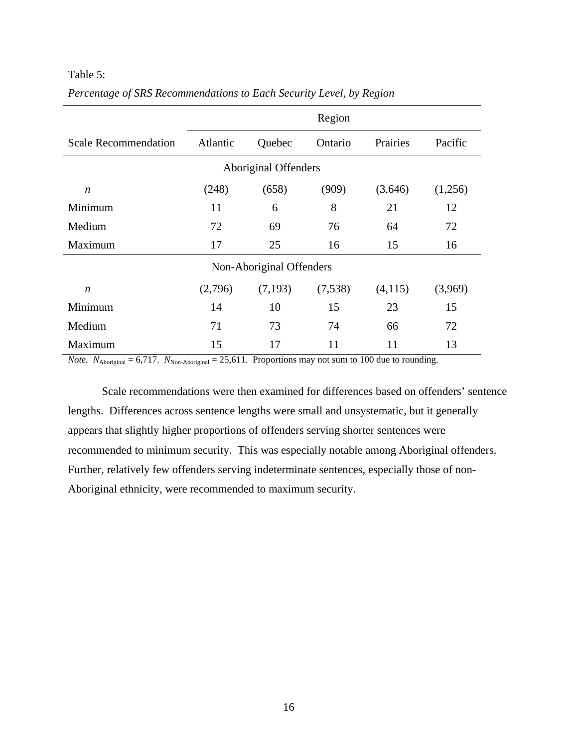# <span id="page-31-0"></span>Table 5:

|                             | Region                      |         |         |          |         |  |
|-----------------------------|-----------------------------|---------|---------|----------|---------|--|
| <b>Scale Recommendation</b> | Atlantic                    | Quebec  | Ontario | Prairies | Pacific |  |
|                             | <b>Aboriginal Offenders</b> |         |         |          |         |  |
| n                           | (248)                       | (658)   | (909)   | (3,646)  | (1,256) |  |
| Minimum                     | 11                          | 6       | 8       | 21       | 12      |  |
| Medium                      | 72                          | 69      | 76      | 64       | 72      |  |
| Maximum                     | 17                          | 25      | 16      | 15       | 16      |  |
|                             | Non-Aboriginal Offenders    |         |         |          |         |  |
| n                           | (2,796)                     | (7,193) | (7,538) | (4,115)  | (3,969) |  |
| Minimum                     | 14                          | 10      | 15      | 23       | 15      |  |
| Medium                      | 71                          | 73      | 74      | 66       | 72      |  |
| Maximum                     | 15                          | 17      | 11      | 11       | 13      |  |

*Percentage of SRS Recommendations to Each Security Level, by Region*

*Note.*  $N_{\text{Aboriginal}} = 6,717$ .  $N_{\text{Non-Aboriginal}} = 25,611$ . Proportions may not sum to 100 due to rounding.

Scale recommendations were then examined for differences based on offenders' sentence lengths. Differences across sentence lengths were small and unsystematic, but it generally appears that slightly higher proportions of offenders serving shorter sentences were recommended to minimum security. This was especially notable among Aboriginal offenders. Further, relatively few offenders serving indeterminate sentences, especially those of non-Aboriginal ethnicity, were recommended to maximum security.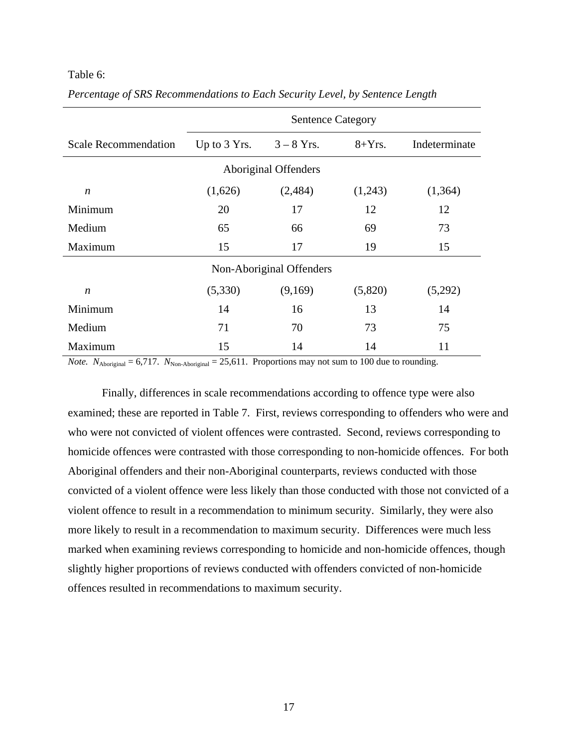#### <span id="page-32-0"></span>Table 6:

|                             | <b>Sentence Category</b> |                          |          |               |  |  |  |  |
|-----------------------------|--------------------------|--------------------------|----------|---------------|--|--|--|--|
| <b>Scale Recommendation</b> | Up to $3$ Yrs.           | $3 - 8$ Yrs.             | $8+Yrs.$ | Indeterminate |  |  |  |  |
|                             | Aboriginal Offenders     |                          |          |               |  |  |  |  |
| $\boldsymbol{n}$            | (1,626)                  | (2,484)                  | (1,243)  | (1,364)       |  |  |  |  |
| Minimum                     | 20                       | 17                       | 12       | 12            |  |  |  |  |
| Medium                      | 65                       | 66                       | 69       | 73            |  |  |  |  |
| Maximum                     | 15                       | 17                       | 19       | 15            |  |  |  |  |
|                             |                          | Non-Aboriginal Offenders |          |               |  |  |  |  |
| n                           | (5,330)                  | (9,169)                  | (5,820)  | (5,292)       |  |  |  |  |
| Minimum                     | 14                       | 16                       | 13       | 14            |  |  |  |  |
| Medium                      | 71                       | 70                       | 73       | 75            |  |  |  |  |
| Maximum                     | 15                       | 14                       | 14       | 11            |  |  |  |  |

*Percentage of SRS Recommendations to Each Security Level, by Sentence Length*

*Note.*  $N_{\text{Aboriginal}} = 6,717$ .  $N_{\text{Non-Aboriginal}} = 25,611$ . Proportions may not sum to 100 due to rounding.

Finally, differences in scale recommendations according to offence type were also examined; these are reported in Table 7. First, reviews corresponding to offenders who were and who were not convicted of violent offences were contrasted. Second, reviews corresponding to homicide offences were contrasted with those corresponding to non-homicide offences. For both Aboriginal offenders and their non-Aboriginal counterparts, reviews conducted with those convicted of a violent offence were less likely than those conducted with those not convicted of a violent offence to result in a recommendation to minimum security. Similarly, they were also more likely to result in a recommendation to maximum security. Differences were much less marked when examining reviews corresponding to homicide and non-homicide offences, though slightly higher proportions of reviews conducted with offenders convicted of non-homicide offences resulted in recommendations to maximum security.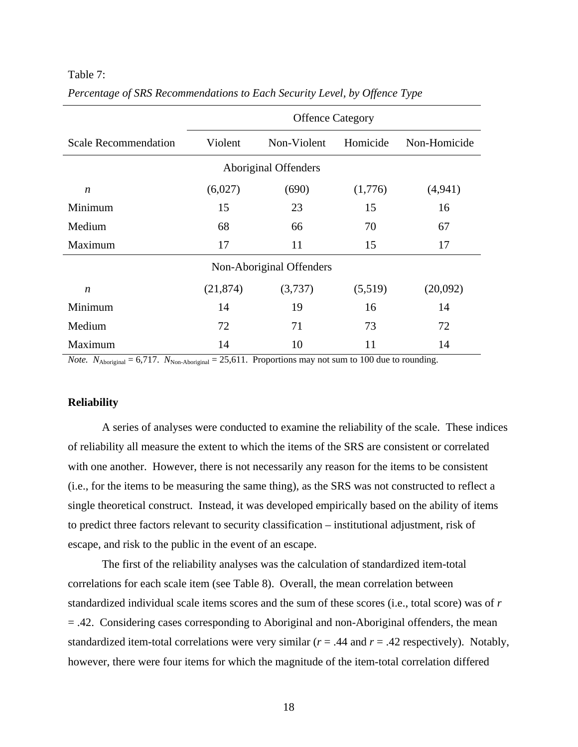#### <span id="page-33-0"></span>Table 7:

|                             | <b>Offence Category</b> |                          |          |              |  |  |  |
|-----------------------------|-------------------------|--------------------------|----------|--------------|--|--|--|
| <b>Scale Recommendation</b> | Violent                 | Non-Violent              | Homicide | Non-Homicide |  |  |  |
| Aboriginal Offenders        |                         |                          |          |              |  |  |  |
| n                           | (6,027)                 | (690)                    | (1,776)  | (4, 941)     |  |  |  |
| Minimum                     | 15                      | 23                       | 15       | 16           |  |  |  |
| Medium                      | 68                      | 66                       | 70       | 67           |  |  |  |
| Maximum                     | 17                      | 11                       | 15       | 17           |  |  |  |
|                             |                         | Non-Aboriginal Offenders |          |              |  |  |  |
| n                           | (21, 874)               | (3,737)                  | (5,519)  | (20,092)     |  |  |  |
| Minimum                     | 14                      | 19                       | 16       | 14           |  |  |  |
| Medium                      | 72                      | 71                       | 73       | 72           |  |  |  |
| Maximum                     | 14                      | 10                       | 11       | 14           |  |  |  |

*Percentage of SRS Recommendations to Each Security Level, by Offence Type* 

*Note.*  $N_{\text{Aboriginal}} = 6,717$ .  $N_{\text{Non-Aboriginal}} = 25,611$ . Proportions may not sum to 100 due to rounding.

# **Reliability**

A series of analyses were conducted to examine the reliability of the scale. These indices of reliability all measure the extent to which the items of the SRS are consistent or correlated with one another. However, there is not necessarily any reason for the items to be consistent (i.e., for the items to be measuring the same thing), as the SRS was not constructed to reflect a single theoretical construct. Instead, it was developed empirically based on the ability of items to predict three factors relevant to security classification – institutional adjustment, risk of escape, and risk to the public in the event of an escape.

The first of the reliability analyses was the calculation of standardized item-total correlations for each scale item (see Table 8). Overall, the mean correlation between standardized individual scale items scores and the sum of these scores (i.e., total score) was of *r* = .42. Considering cases corresponding to Aboriginal and non-Aboriginal offenders, the mean standardized item-total correlations were very similar ( $r = .44$  and  $r = .42$  respectively). Notably, however, there were four items for which the magnitude of the item-total correlation differed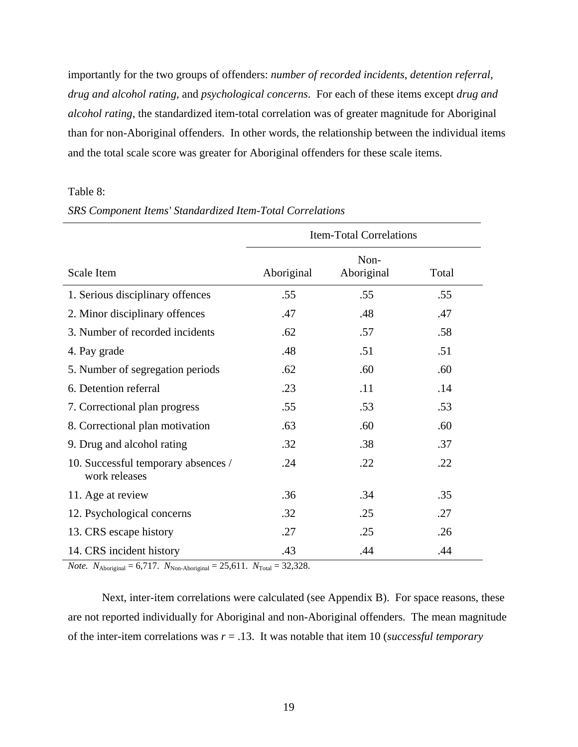<span id="page-34-0"></span>importantly for the two groups of offenders: *number of recorded incidents*, *detention referral*, *drug and alcohol rating*, and *psychological concerns*. For each of these items except *drug and alcohol rating*, the standardized item-total correlation was of greater magnitude for Aboriginal than for non-Aboriginal offenders. In other words, the relationship between the individual items and the total scale score was greater for Aboriginal offenders for these scale items.

# Table 8:

|                                                      | <b>Item-Total Correlations</b> |                    |       |  |
|------------------------------------------------------|--------------------------------|--------------------|-------|--|
| <b>Scale Item</b>                                    | Aboriginal                     | Non-<br>Aboriginal | Total |  |
| 1. Serious disciplinary offences                     | .55                            | .55                | .55   |  |
| 2. Minor disciplinary offences                       | .47                            | .48                | .47   |  |
| 3. Number of recorded incidents                      | .62                            | .57                | .58   |  |
| 4. Pay grade                                         | .48                            | .51                | .51   |  |
| 5. Number of segregation periods                     | .62                            | .60                | .60   |  |
| 6. Detention referral                                | .23                            | .11                | .14   |  |
| 7. Correctional plan progress                        | .55                            | .53                | .53   |  |
| 8. Correctional plan motivation                      | .63                            | .60                | .60   |  |
| 9. Drug and alcohol rating                           | .32                            | .38                | .37   |  |
| 10. Successful temporary absences /<br>work releases | .24                            | .22                | .22   |  |
| 11. Age at review                                    | .36                            | .34                | .35   |  |
| 12. Psychological concerns                           | .32                            | .25                | .27   |  |
| 13. CRS escape history                               | .27                            | .25                | .26   |  |
| 14. CRS incident history                             | .43                            | .44                | .44   |  |

# *SRS Component Items' Standardized Item-Total Correlations*

*Note.*  $N_{\text{Aboriginal}} = 6,717$ .  $N_{\text{Non-Aboriginal}} = 25,611$ .  $N_{\text{Total}} = 32,328$ .

Next, inter-item correlations were calculated (see Appendix B). For space reasons, these are not reported individually for Aboriginal and non-Aboriginal offenders. The mean magnitude of the inter-item correlations was  $r = .13$ . It was notable that item 10 (*successful temporary*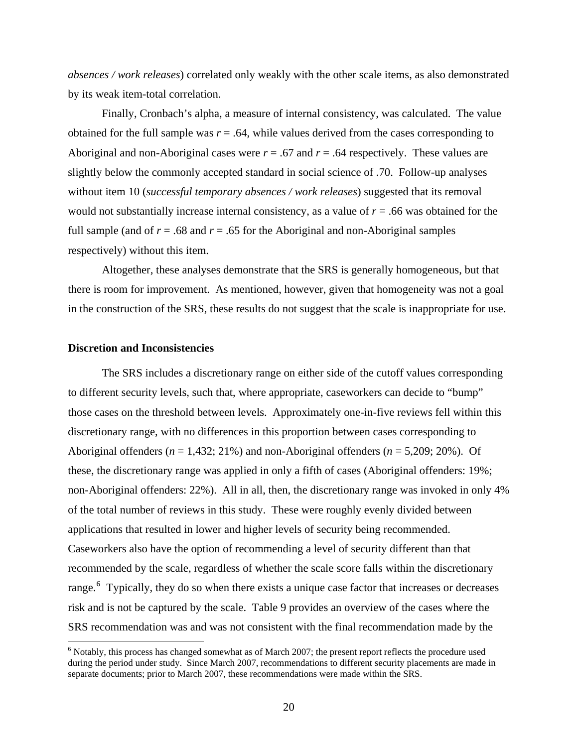<span id="page-35-0"></span>*absences / work releases*) correlated only weakly with the other scale items, as also demonstrated by its weak item-total correlation.

Finally, Cronbach's alpha, a measure of internal consistency, was calculated. The value obtained for the full sample was  $r = .64$ , while values derived from the cases corresponding to Aboriginal and non-Aboriginal cases were  $r = .67$  and  $r = .64$  respectively. These values are slightly below the commonly accepted standard in social science of .70. Follow-up analyses without item 10 (*successful temporary absences / work releases*) suggested that its removal would not substantially increase internal consistency, as a value of *r* = .66 was obtained for the full sample (and of  $r = .68$  and  $r = .65$  for the Aboriginal and non-Aboriginal samples respectively) without this item.

Altogether, these analyses demonstrate that the SRS is generally homogeneous, but that there is room for improvement. As mentioned, however, given that homogeneity was not a goal in the construction of the SRS, these results do not suggest that the scale is inappropriate for use.

# **Discretion and Inconsistencies**

1

The SRS includes a discretionary range on either side of the cutoff values corresponding to different security levels, such that, where appropriate, caseworkers can decide to "bump" those cases on the threshold between levels. Approximately one-in-five reviews fell within this discretionary range, with no differences in this proportion between cases corresponding to Aboriginal offenders (*n* = 1,432; 21%) and non-Aboriginal offenders (*n* = 5,209; 20%). Of these, the discretionary range was applied in only a fifth of cases (Aboriginal offenders: 19%; non-Aboriginal offenders: 22%). All in all, then, the discretionary range was invoked in only 4% of the total number of reviews in this study. These were roughly evenly divided between applications that resulted in lower and higher levels of security being recommended. Caseworkers also have the option of recommending a level of security different than that recommended by the scale, regardless of whether the scale score falls within the discretionary range.<sup>[6](#page-35-0)</sup> Typically, they do so when there exists a unique case factor that increases or decreases risk and is not be captured by the scale. Table 9 provides an overview of the cases where the SRS recommendation was and was not consistent with the final recommendation made by the

<sup>&</sup>lt;sup>6</sup> Notably, this process has changed somewhat as of March 2007; the present report reflects the procedure used during the period under study. Since March 2007, recommendations to different security placements are made in separate documents; prior to March 2007, these recommendations were made within the SRS.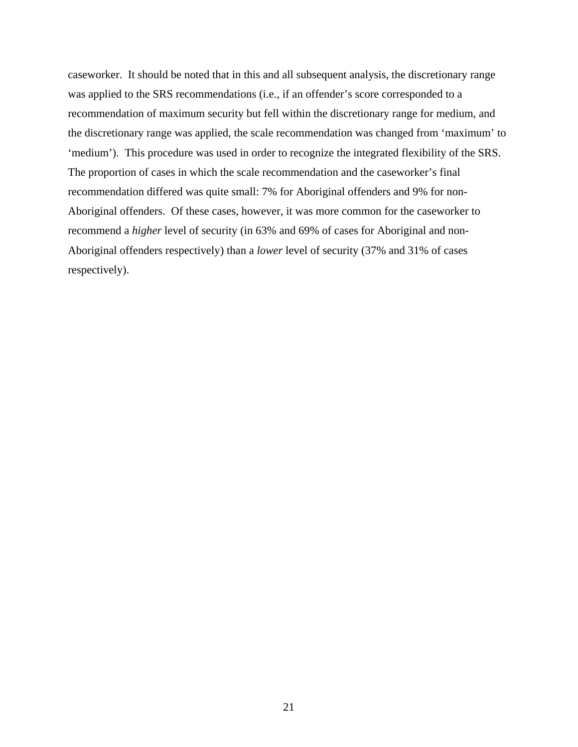caseworker. It should be noted that in this and all subsequent analysis, the discretionary range was applied to the SRS recommendations (i.e., if an offender's score corresponded to a recommendation of maximum security but fell within the discretionary range for medium, and the discretionary range was applied, the scale recommendation was changed from 'maximum' to 'medium'). This procedure was used in order to recognize the integrated flexibility of the SRS. The proportion of cases in which the scale recommendation and the caseworker's final recommendation differed was quite small: 7% for Aboriginal offenders and 9% for non-Aboriginal offenders. Of these cases, however, it was more common for the caseworker to recommend a *higher* level of security (in 63% and 69% of cases for Aboriginal and non-Aboriginal offenders respectively) than a *lower* level of security (37% and 31% of cases respectively).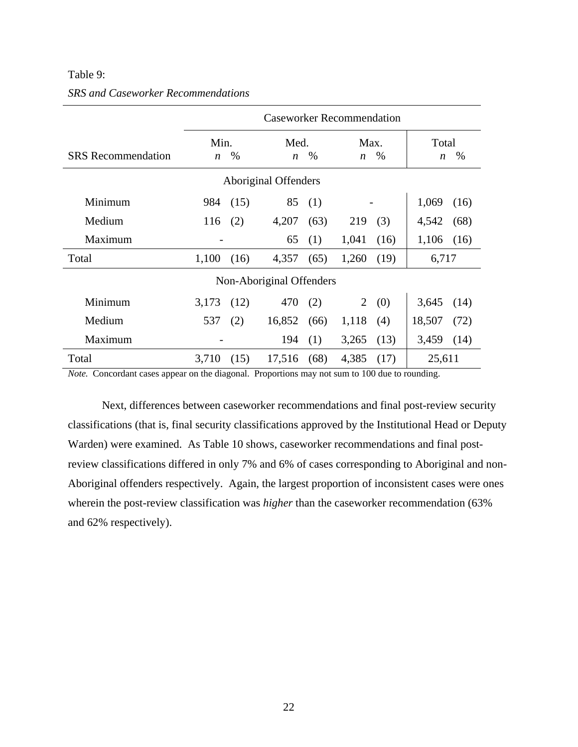## <span id="page-37-0"></span>Table 9:

|                           | <b>Caseworker Recommendation</b> |      |                          |      |                          |      |                           |      |
|---------------------------|----------------------------------|------|--------------------------|------|--------------------------|------|---------------------------|------|
| <b>SRS</b> Recommendation | Min.<br>$\boldsymbol{n}$         | %    | Med.<br>$\boldsymbol{n}$ | %    | Max.<br>$\boldsymbol{n}$ | $\%$ | Total<br>$\boldsymbol{n}$ | %    |
|                           |                                  |      | Aboriginal Offenders     |      |                          |      |                           |      |
| Minimum                   | 984                              | (15) | 85                       | (1)  |                          |      | 1,069                     | (16) |
| Medium                    | 116                              | (2)  | 4,207                    | (63) | 219                      | (3)  | 4,542                     | (68) |
| Maximum                   |                                  |      | 65                       | (1)  | 1,041                    | (16) | 1,106                     | (16) |
| Total                     | 1,100                            | (16) | 4,357                    | (65) | 1,260                    | (19) | 6,717                     |      |
| Non-Aboriginal Offenders  |                                  |      |                          |      |                          |      |                           |      |
| Minimum                   | 3,173                            | (12) | 470                      | (2)  | $\overline{2}$           | (0)  | 3,645                     | (14) |
| Medium                    | 537                              | (2)  | 16,852                   | (66) | 1,118                    | (4)  | 18,507                    | (72) |
| Maximum                   |                                  |      | 194                      | (1)  | 3,265                    | (13) | 3,459                     | (14) |
| Total                     | 3,710                            | (15) | 17,516                   | (68) | 4,385                    | (17) | 25,611                    |      |

# *SRS and Caseworker Recommendations*

*Note.* Concordant cases appear on the diagonal. Proportions may not sum to 100 due to rounding.

Next, differences between caseworker recommendations and final post-review security classifications (that is, final security classifications approved by the Institutional Head or Deputy Warden) were examined. As Table 10 shows, caseworker recommendations and final postreview classifications differed in only 7% and 6% of cases corresponding to Aboriginal and non-Aboriginal offenders respectively. Again, the largest proportion of inconsistent cases were ones wherein the post-review classification was *higher* than the caseworker recommendation (63% and 62% respectively).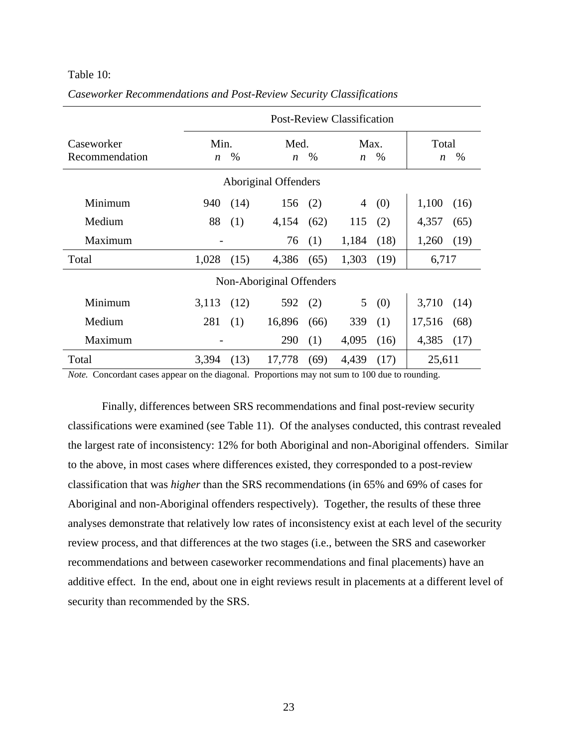#### <span id="page-38-0"></span>Table 10:

|                              | <b>Post-Review Classification</b> |      |                             |      |                          |      |                                   |
|------------------------------|-----------------------------------|------|-----------------------------|------|--------------------------|------|-----------------------------------|
| Caseworker<br>Recommendation | Min.<br>$\boldsymbol{n}$          | $\%$ | Med.<br>$\boldsymbol{n}$    | $\%$ | Max.<br>$\boldsymbol{n}$ | $\%$ | Total<br>$\%$<br>$\boldsymbol{n}$ |
|                              |                                   |      | <b>Aboriginal Offenders</b> |      |                          |      |                                   |
| Minimum                      | 940                               | (14) | 156                         | (2)  | 4                        | (0)  | 1,100<br>(16)                     |
| Medium                       | 88                                | (1)  | 4,154                       | (62) | 115                      | (2)  | 4,357<br>(65)                     |
| Maximum                      |                                   |      | 76                          | (1)  | 1,184                    | (18) | 1,260<br>(19)                     |
| Total                        | 1,028                             | (15) | 4,386                       | (65) | 1,303                    | (19) | 6,717                             |
| Non-Aboriginal Offenders     |                                   |      |                             |      |                          |      |                                   |
| Minimum                      | 3,113                             | (12) | 592                         | (2)  | 5 <sup>1</sup>           | (0)  | 3,710<br>(14)                     |
| Medium                       | 281                               | (1)  | 16,896                      | (66) | 339                      | (1)  | 17,516<br>(68)                    |
| Maximum                      |                                   |      | 290                         | (1)  | 4,095                    | (16) | 4,385<br>(17)                     |
| Total                        | 3,394                             | (13) | 17,778                      | (69) | 4,439                    | (17) | 25,611                            |

*Caseworker Recommendations and Post-Review Security Classifications* 

*Note.* Concordant cases appear on the diagonal. Proportions may not sum to 100 due to rounding.

Finally, differences between SRS recommendations and final post-review security classifications were examined (see Table 11). Of the analyses conducted, this contrast revealed the largest rate of inconsistency: 12% for both Aboriginal and non-Aboriginal offenders. Similar to the above, in most cases where differences existed, they corresponded to a post-review classification that was *higher* than the SRS recommendations (in 65% and 69% of cases for Aboriginal and non-Aboriginal offenders respectively). Together, the results of these three analyses demonstrate that relatively low rates of inconsistency exist at each level of the security review process, and that differences at the two stages (i.e., between the SRS and caseworker recommendations and between caseworker recommendations and final placements) have an additive effect. In the end, about one in eight reviews result in placements at a different level of security than recommended by the SRS.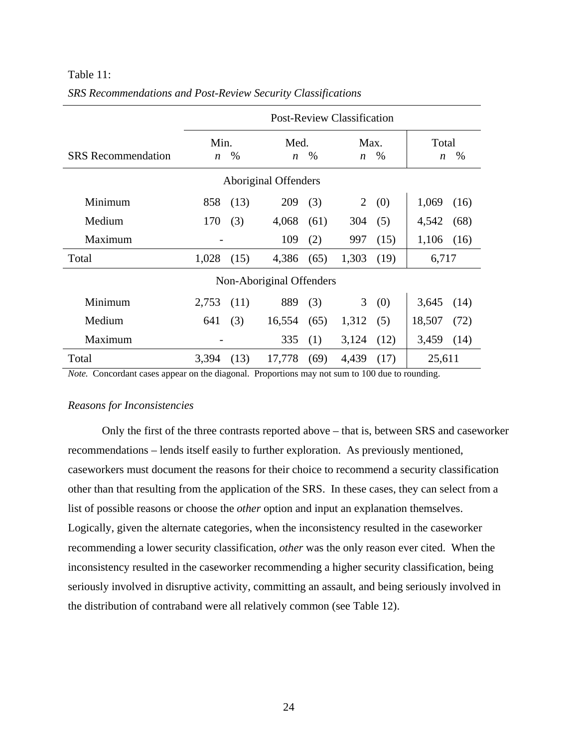|                           | <b>Post-Review Classification</b> |      |                          |      |                          |      |                           |      |
|---------------------------|-----------------------------------|------|--------------------------|------|--------------------------|------|---------------------------|------|
| <b>SRS</b> Recommendation | Min.<br>$\boldsymbol{n}$          | $\%$ | Med.<br>$\boldsymbol{n}$ | $\%$ | Max.<br>$\boldsymbol{n}$ | %    | Total<br>$\boldsymbol{n}$ | %    |
|                           |                                   |      | Aboriginal Offenders     |      |                          |      |                           |      |
| Minimum                   | 858                               | (13) | 209                      | (3)  | 2                        | (0)  | 1,069                     | (16) |
| Medium                    | 170                               | (3)  | 4,068                    | (61) | 304                      | (5)  | 4,542                     | (68) |
| Maximum                   |                                   |      | 109                      | (2)  | 997                      | (15) | 1,106                     | (16) |
| Total                     | 1,028                             | (15) | 4,386                    | (65) | 1,303                    | (19) | 6,717                     |      |
| Non-Aboriginal Offenders  |                                   |      |                          |      |                          |      |                           |      |
| Minimum                   | 2,753                             | (11) | 889                      | (3)  | 3                        | (0)  | 3,645                     | (14) |
| Medium                    | 641                               | (3)  | 16,554                   | (65) | 1,312                    | (5)  | 18,507                    | (72) |
| Maximum                   |                                   |      | 335                      | (1)  | 3,124                    | (12) | 3,459                     | (14) |
| Total                     | 3,394                             | (13) | 17,778                   | (69) | 4,439                    | (17) | 25,611                    |      |

# <span id="page-39-0"></span>Table 11: *SRS Recommendations and Post-Review Security Classifications*

*Note.* Concordant cases appear on the diagonal. Proportions may not sum to 100 due to rounding.

# *Reasons for Inconsistencies*

Only the first of the three contrasts reported above – that is, between SRS and caseworker recommendations – lends itself easily to further exploration. As previously mentioned, caseworkers must document the reasons for their choice to recommend a security classification other than that resulting from the application of the SRS. In these cases, they can select from a list of possible reasons or choose the *other* option and input an explanation themselves. Logically, given the alternate categories, when the inconsistency resulted in the caseworker recommending a lower security classification, *other* was the only reason ever cited. When the inconsistency resulted in the caseworker recommending a higher security classification, being seriously involved in disruptive activity, committing an assault, and being seriously involved in the distribution of contraband were all relatively common (see Table 12).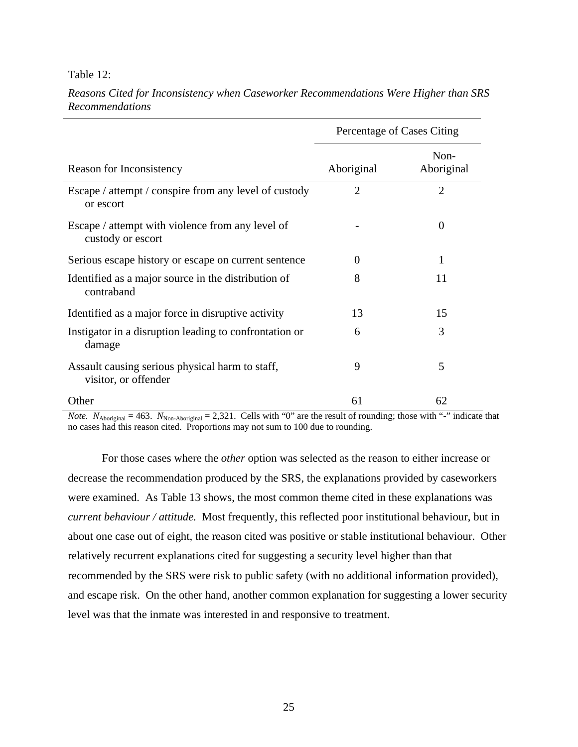#### <span id="page-40-0"></span>Table 12:

|                                                                         | Percentage of Cases Citing |                    |
|-------------------------------------------------------------------------|----------------------------|--------------------|
| Reason for Inconsistency                                                | Aboriginal                 | Non-<br>Aboriginal |
| Escape / attempt / conspire from any level of custody<br>or escort      | $\overline{2}$             | $\overline{2}$     |
| Escape / attempt with violence from any level of<br>custody or escort   |                            | $\theta$           |
| Serious escape history or escape on current sentence                    | $\Omega$                   | 1                  |
| Identified as a major source in the distribution of<br>contraband       | 8                          | 11                 |
| Identified as a major force in disruptive activity                      | 13                         | 15                 |
| Instigator in a disruption leading to confrontation or<br>damage        | 6                          | 3                  |
| Assault causing serious physical harm to staff,<br>visitor, or offender | 9                          | 5                  |
| Other                                                                   | 61                         | 62                 |

*Reasons Cited for Inconsistency when Caseworker Recommendations Were Higher than SRS Recommendations* 

*Note.*  $N_{\text{Aboriginal}} = 463$ .  $N_{\text{Non-Aboriginal}} = 2,321$ . Cells with "0" are the result of rounding; those with "-" indicate that no cases had this reason cited. Proportions may not sum to 100 due to rounding.

For those cases where the *other* option was selected as the reason to either increase or decrease the recommendation produced by the SRS, the explanations provided by caseworkers were examined. As Table 13 shows, the most common theme cited in these explanations was *current behaviour / attitude.* Most frequently, this reflected poor institutional behaviour, but in about one case out of eight, the reason cited was positive or stable institutional behaviour. Other relatively recurrent explanations cited for suggesting a security level higher than that recommended by the SRS were risk to public safety (with no additional information provided), and escape risk. On the other hand, another common explanation for suggesting a lower security level was that the inmate was interested in and responsive to treatment.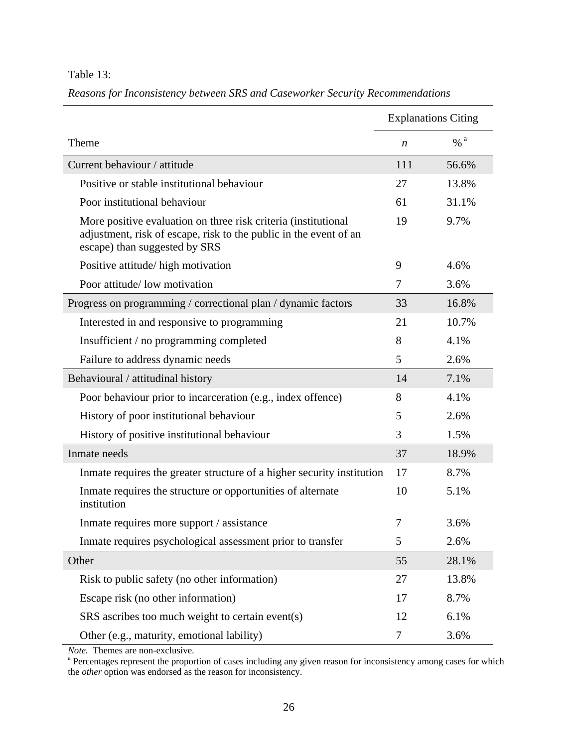<span id="page-41-0"></span>Table 13:

|                                                                                                                                                                      |                  | <b>Explanations Citing</b> |
|----------------------------------------------------------------------------------------------------------------------------------------------------------------------|------------------|----------------------------|
| Theme                                                                                                                                                                | $\boldsymbol{n}$ | $\frac{6}{6}$ a            |
| Current behaviour / attitude                                                                                                                                         | 111              | 56.6%                      |
| Positive or stable institutional behaviour                                                                                                                           | 27               | 13.8%                      |
| Poor institutional behaviour                                                                                                                                         | 61               | 31.1%                      |
| More positive evaluation on three risk criteria (institutional<br>adjustment, risk of escape, risk to the public in the event of an<br>escape) than suggested by SRS | 19               | 9.7%                       |
| Positive attitude/high motivation                                                                                                                                    | 9                | 4.6%                       |
| Poor attitude/ low motivation                                                                                                                                        | 7                | 3.6%                       |
| Progress on programming / correctional plan / dynamic factors                                                                                                        | 33               | 16.8%                      |
| Interested in and responsive to programming                                                                                                                          | 21               | 10.7%                      |
| Insufficient / no programming completed                                                                                                                              | 8                | 4.1%                       |
| Failure to address dynamic needs                                                                                                                                     | 5                | 2.6%                       |
| Behavioural / attitudinal history                                                                                                                                    | 14               | 7.1%                       |
| Poor behaviour prior to incarceration (e.g., index offence)                                                                                                          | 8                | 4.1%                       |
| History of poor institutional behaviour                                                                                                                              | 5                | 2.6%                       |
| History of positive institutional behaviour                                                                                                                          | 3                | 1.5%                       |
| Inmate needs                                                                                                                                                         | 37               | 18.9%                      |
| In mate requires the greater structure of a higher security institution                                                                                              | 17               | 8.7%                       |
| In mate requires the structure or opportunities of alternate<br>institution                                                                                          | 10               | 5.1%                       |
| Inmate requires more support / assistance                                                                                                                            | $\overline{7}$   | 3.6%                       |
| Inmate requires psychological assessment prior to transfer                                                                                                           | 5                | 2.6%                       |
| Other                                                                                                                                                                | 55               | 28.1%                      |
| Risk to public safety (no other information)                                                                                                                         | 27               | 13.8%                      |
| Escape risk (no other information)                                                                                                                                   | 17               | 8.7%                       |
| SRS ascribes too much weight to certain event(s)                                                                                                                     | 12               | 6.1%                       |
| Other (e.g., maturity, emotional lability)                                                                                                                           | 7                | 3.6%                       |

*Reasons for Inconsistency between SRS and Caseworker Security Recommendations* 

*Note.* Themes are non-exclusive.

<sup>a</sup> Percentages represent the proportion of cases including any given reason for inconsistency among cases for which the *other* option was endorsed as the reason for inconsistency.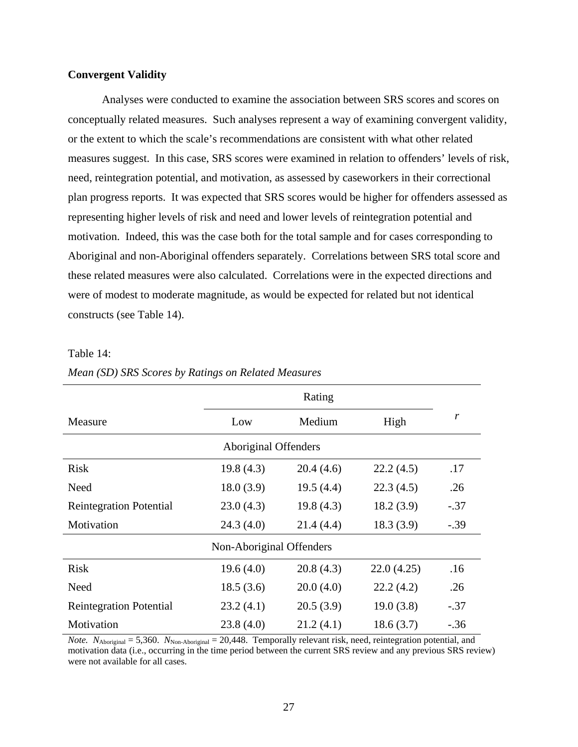# <span id="page-42-0"></span>**Convergent Validity**

Analyses were conducted to examine the association between SRS scores and scores on conceptually related measures. Such analyses represent a way of examining convergent validity, or the extent to which the scale's recommendations are consistent with what other related measures suggest. In this case, SRS scores were examined in relation to offenders' levels of risk, need, reintegration potential, and motivation, as assessed by caseworkers in their correctional plan progress reports. It was expected that SRS scores would be higher for offenders assessed as representing higher levels of risk and need and lower levels of reintegration potential and motivation. Indeed, this was the case both for the total sample and for cases corresponding to Aboriginal and non-Aboriginal offenders separately. Correlations between SRS total score and these related measures were also calculated. Correlations were in the expected directions and were of modest to moderate magnitude, as would be expected for related but not identical constructs (see Table 14).

## Table 14:

|                                |           | Rating    |            |        |  |  |
|--------------------------------|-----------|-----------|------------|--------|--|--|
| Measure                        | Low       | Medium    | High       | r      |  |  |
| Aboriginal Offenders           |           |           |            |        |  |  |
| <b>Risk</b>                    | 19.8(4.3) | 20.4(4.6) | 22.2(4.5)  | .17    |  |  |
| Need                           | 18.0(3.9) | 19.5(4.4) | 22.3(4.5)  | .26    |  |  |
| <b>Reintegration Potential</b> | 23.0(4.3) | 19.8(4.3) | 18.2(3.9)  | $-.37$ |  |  |
| Motivation                     | 24.3(4.0) | 21.4(4.4) | 18.3(3.9)  | $-.39$ |  |  |
| Non-Aboriginal Offenders       |           |           |            |        |  |  |
| <b>Risk</b>                    | 19.6(4.0) | 20.8(4.3) | 22.0(4.25) | .16    |  |  |
| Need                           | 18.5(3.6) | 20.0(4.0) | 22.2(4.2)  | .26    |  |  |
| <b>Reintegration Potential</b> | 23.2(4.1) | 20.5(3.9) | 19.0(3.8)  | $-.37$ |  |  |
| Motivation                     | 23.8(4.0) | 21.2(4.1) | 18.6(3.7)  | $-.36$ |  |  |

*Mean (SD) SRS Scores by Ratings on Related Measures* 

*Note.*  $N_{\text{Aboriginal}} = 5,360$ .  $N_{\text{Non-Aboriginal}} = 20,448$ . Temporally relevant risk, need, reintegration potential, and motivation data (i.e., occurring in the time period between the current SRS review and any previous SRS review) were not available for all cases.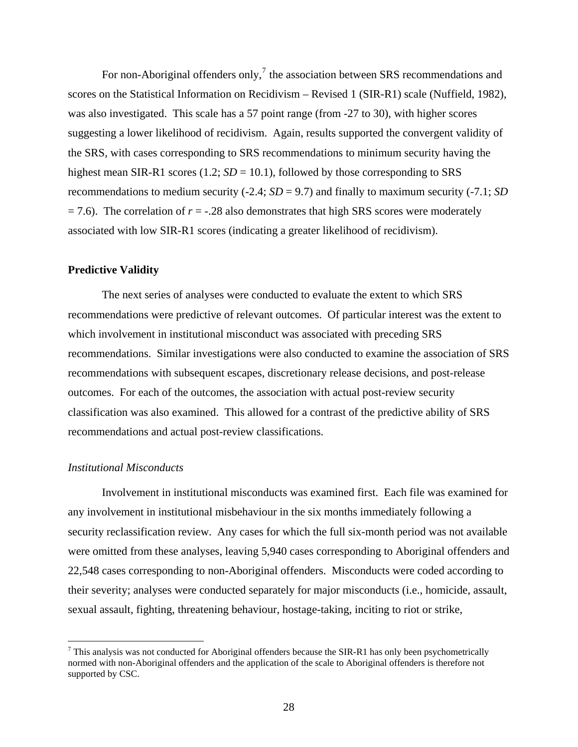<span id="page-43-0"></span>For non-Aboriginal offenders only,<sup>[7](#page-43-0)</sup> the association between SRS recommendations and scores on the Statistical Information on Recidivism – Revised 1 (SIR-R1) scale (Nuffield, 1982), was also investigated. This scale has a 57 point range (from -27 to 30), with higher scores suggesting a lower likelihood of recidivism. Again, results supported the convergent validity of the SRS, with cases corresponding to SRS recommendations to minimum security having the highest mean SIR-R1 scores (1.2;  $SD = 10.1$ ), followed by those corresponding to SRS recommendations to medium security  $(-2.4; SD = 9.7)$  and finally to maximum security  $(-7.1; SD)$ = 7.6). The correlation of *r* = -.28 also demonstrates that high SRS scores were moderately associated with low SIR-R1 scores (indicating a greater likelihood of recidivism).

#### **Predictive Validity**

The next series of analyses were conducted to evaluate the extent to which SRS recommendations were predictive of relevant outcomes. Of particular interest was the extent to which involvement in institutional misconduct was associated with preceding SRS recommendations. Similar investigations were also conducted to examine the association of SRS recommendations with subsequent escapes, discretionary release decisions, and post-release outcomes. For each of the outcomes, the association with actual post-review security classification was also examined. This allowed for a contrast of the predictive ability of SRS recommendations and actual post-review classifications.

# *Institutional Misconducts*

 $\overline{a}$ 

Involvement in institutional misconducts was examined first. Each file was examined for any involvement in institutional misbehaviour in the six months immediately following a security reclassification review. Any cases for which the full six-month period was not available were omitted from these analyses, leaving 5,940 cases corresponding to Aboriginal offenders and 22,548 cases corresponding to non-Aboriginal offenders. Misconducts were coded according to their severity; analyses were conducted separately for major misconducts (i.e., homicide, assault, sexual assault, fighting, threatening behaviour, hostage-taking, inciting to riot or strike,

 $<sup>7</sup>$  This analysis was not conducted for Aboriginal offenders because the SIR-R1 has only been psychometrically</sup> normed with non-Aboriginal offenders and the application of the scale to Aboriginal offenders is therefore not supported by CSC.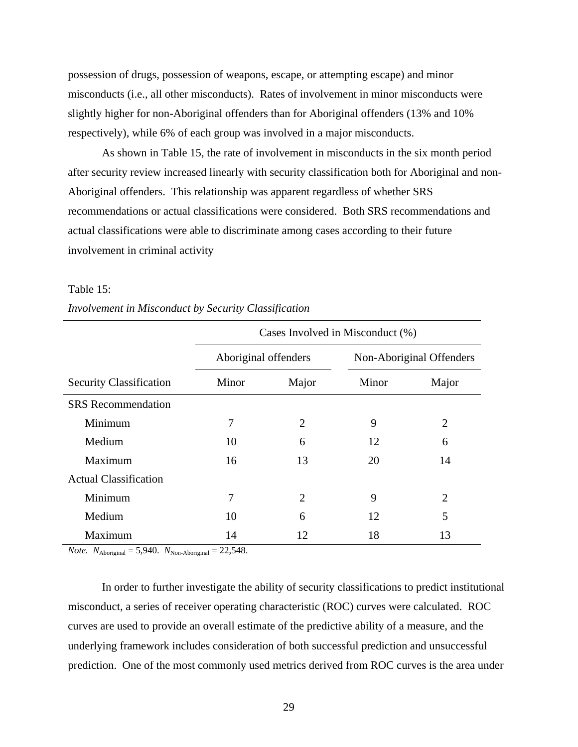<span id="page-44-0"></span>possession of drugs, possession of weapons, escape, or attempting escape) and minor misconducts (i.e., all other misconducts). Rates of involvement in minor misconducts were slightly higher for non-Aboriginal offenders than for Aboriginal offenders (13% and 10% respectively), while 6% of each group was involved in a major misconducts.

As shown in Table 15, the rate of involvement in misconducts in the six month period after security review increased linearly with security classification both for Aboriginal and non-Aboriginal offenders. This relationship was apparent regardless of whether SRS recommendations or actual classifications were considered. Both SRS recommendations and actual classifications were able to discriminate among cases according to their future involvement in criminal activity

#### Table 15:

|                                | Cases Involved in Misconduct (%) |                |       |                          |  |  |
|--------------------------------|----------------------------------|----------------|-------|--------------------------|--|--|
|                                | Aboriginal offenders             |                |       | Non-Aboriginal Offenders |  |  |
| <b>Security Classification</b> | Minor                            | Major          | Minor | Major                    |  |  |
| <b>SRS</b> Recommendation      |                                  |                |       |                          |  |  |
| Minimum                        | 7                                | $\overline{2}$ | 9     | $\overline{2}$           |  |  |
| Medium                         | 10                               | 6              | 12    | 6                        |  |  |
| Maximum                        | 16                               | 13             | 20    | 14                       |  |  |
| <b>Actual Classification</b>   |                                  |                |       |                          |  |  |
| Minimum                        | 7                                | $\overline{2}$ | 9     | $\overline{2}$           |  |  |
| Medium                         | 10                               | 6              | 12    | 5                        |  |  |
| Maximum                        | 14                               | 12             | 18    | 13                       |  |  |

*Involvement in Misconduct by Security Classification* 

*Note.*  $N_{\text{Aboriginal}} = 5,940$ .  $N_{\text{Non-Aboriginal}} = 22,548$ .

In order to further investigate the ability of security classifications to predict institutional misconduct, a series of receiver operating characteristic (ROC) curves were calculated. ROC curves are used to provide an overall estimate of the predictive ability of a measure, and the underlying framework includes consideration of both successful prediction and unsuccessful prediction. One of the most commonly used metrics derived from ROC curves is the area under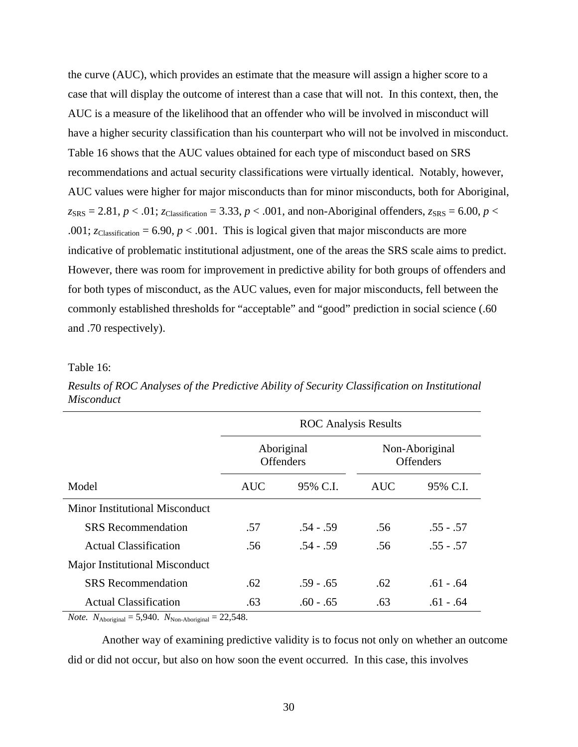<span id="page-45-0"></span>the curve (AUC), which provides an estimate that the measure will assign a higher score to a case that will display the outcome of interest than a case that will not. In this context, then, the AUC is a measure of the likelihood that an offender who will be involved in misconduct will have a higher security classification than his counterpart who will not be involved in misconduct. Table 16 shows that the AUC values obtained for each type of misconduct based on SRS recommendations and actual security classifications were virtually identical. Notably, however, AUC values were higher for major misconducts than for minor misconducts, both for Aboriginal,  $z_{SRS} = 2.81, p < .01$ ;  $z_{Classification} = 3.33, p < .001$ , and non-Aboriginal offenders,  $z_{SRS} = 6.00, p <$ .001;  $z_{\text{Classification}} = 6.90, p < .001$ . This is logical given that major misconducts are more indicative of problematic institutional adjustment, one of the areas the SRS scale aims to predict. However, there was room for improvement in predictive ability for both groups of offenders and for both types of misconduct, as the AUC values, even for major misconducts, fell between the commonly established thresholds for "acceptable" and "good" prediction in social science (.60 and .70 respectively).

#### Table 16:

|                                              | <b>ROC</b> Analysis Results |                                |            |                                    |  |
|----------------------------------------------|-----------------------------|--------------------------------|------------|------------------------------------|--|
|                                              |                             | Aboriginal<br><b>Offenders</b> |            | Non-Aboriginal<br><b>Offenders</b> |  |
| Model                                        | <b>AUC</b>                  | 95% C.I.                       | <b>AUC</b> | 95% C.I.                           |  |
| <b>Minor Institutional Misconduct</b>        |                             |                                |            |                                    |  |
| <b>SRS</b> Recommendation                    | .57                         | $.54 - .59$                    | .56        | $.55 - .57$                        |  |
| <b>Actual Classification</b>                 | .56                         | $.54 - .59$                    | .56        | $.55 - .57$                        |  |
| <b>Major Institutional Misconduct</b>        |                             |                                |            |                                    |  |
| <b>SRS</b> Recommendation                    | .62                         | $.59 - .65$                    | .62        | $.61 - .64$                        |  |
| <b>Actual Classification</b><br>$\mathbf{y}$ | .63<br>$\sim$ $\sim$ $\sim$ | $.60 - .65$                    | .63        | $.61 - .64$                        |  |

*Results of ROC Analyses of the Predictive Ability of Security Classification on Institutional Misconduct*

*Note.*  $N_{\text{Aboriginal}} = 5,940$ .  $N_{\text{Non-Aboriginal}} = 22,548$ .

Another way of examining predictive validity is to focus not only on whether an outcome did or did not occur, but also on how soon the event occurred. In this case, this involves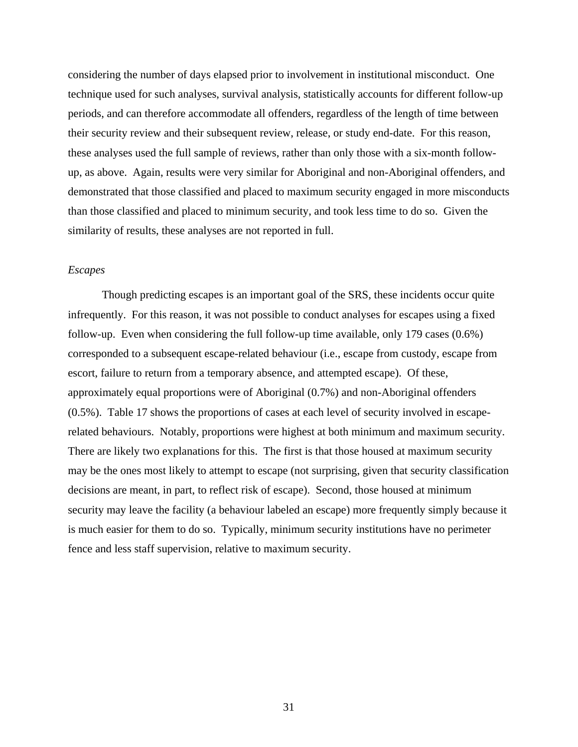<span id="page-46-0"></span>considering the number of days elapsed prior to involvement in institutional misconduct. One technique used for such analyses, survival analysis, statistically accounts for different follow-up periods, and can therefore accommodate all offenders, regardless of the length of time between their security review and their subsequent review, release, or study end-date. For this reason, these analyses used the full sample of reviews, rather than only those with a six-month followup, as above. Again, results were very similar for Aboriginal and non-Aboriginal offenders, and demonstrated that those classified and placed to maximum security engaged in more misconducts than those classified and placed to minimum security, and took less time to do so. Given the similarity of results, these analyses are not reported in full.

# *Escapes*

Though predicting escapes is an important goal of the SRS, these incidents occur quite infrequently. For this reason, it was not possible to conduct analyses for escapes using a fixed follow-up. Even when considering the full follow-up time available, only 179 cases (0.6%) corresponded to a subsequent escape-related behaviour (i.e., escape from custody, escape from escort, failure to return from a temporary absence, and attempted escape). Of these, approximately equal proportions were of Aboriginal (0.7%) and non-Aboriginal offenders (0.5%). Table 17 shows the proportions of cases at each level of security involved in escaperelated behaviours. Notably, proportions were highest at both minimum and maximum security. There are likely two explanations for this. The first is that those housed at maximum security may be the ones most likely to attempt to escape (not surprising, given that security classification decisions are meant, in part, to reflect risk of escape). Second, those housed at minimum security may leave the facility (a behaviour labeled an escape) more frequently simply because it is much easier for them to do so. Typically, minimum security institutions have no perimeter fence and less staff supervision, relative to maximum security.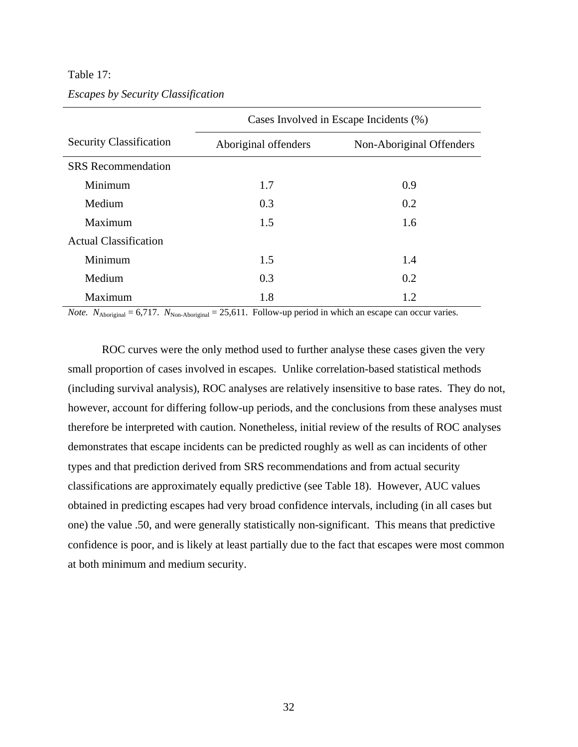#### <span id="page-47-0"></span>Table 17:

|  | <b>Escapes by Security Classification</b> |  |
|--|-------------------------------------------|--|

|                                | Cases Involved in Escape Incidents (%) |                          |  |  |  |  |
|--------------------------------|----------------------------------------|--------------------------|--|--|--|--|
| <b>Security Classification</b> | Aboriginal offenders                   | Non-Aboriginal Offenders |  |  |  |  |
| <b>SRS</b> Recommendation      |                                        |                          |  |  |  |  |
| Minimum                        | 1.7                                    | 0.9                      |  |  |  |  |
| Medium                         | 0.3                                    | 0.2                      |  |  |  |  |
| Maximum                        | 1.5                                    | 1.6                      |  |  |  |  |
| <b>Actual Classification</b>   |                                        |                          |  |  |  |  |
| Minimum                        | 1.5                                    | 1.4                      |  |  |  |  |
| Medium                         | 0.3                                    | 0.2                      |  |  |  |  |
| Maximum                        | 1.8                                    | 1.2                      |  |  |  |  |

*Note.*  $N_{\text{Aboriginal}} = 6,717$ .  $N_{\text{Non-Aboriginal}} = 25,611$ . Follow-up period in which an escape can occur varies.

ROC curves were the only method used to further analyse these cases given the very small proportion of cases involved in escapes. Unlike correlation-based statistical methods (including survival analysis), ROC analyses are relatively insensitive to base rates. They do not, however, account for differing follow-up periods, and the conclusions from these analyses must therefore be interpreted with caution. Nonetheless, initial review of the results of ROC analyses demonstrates that escape incidents can be predicted roughly as well as can incidents of other types and that prediction derived from SRS recommendations and from actual security classifications are approximately equally predictive (see Table 18). However, AUC values obtained in predicting escapes had very broad confidence intervals, including (in all cases but one) the value .50, and were generally statistically non-significant. This means that predictive confidence is poor, and is likely at least partially due to the fact that escapes were most common at both minimum and medium security.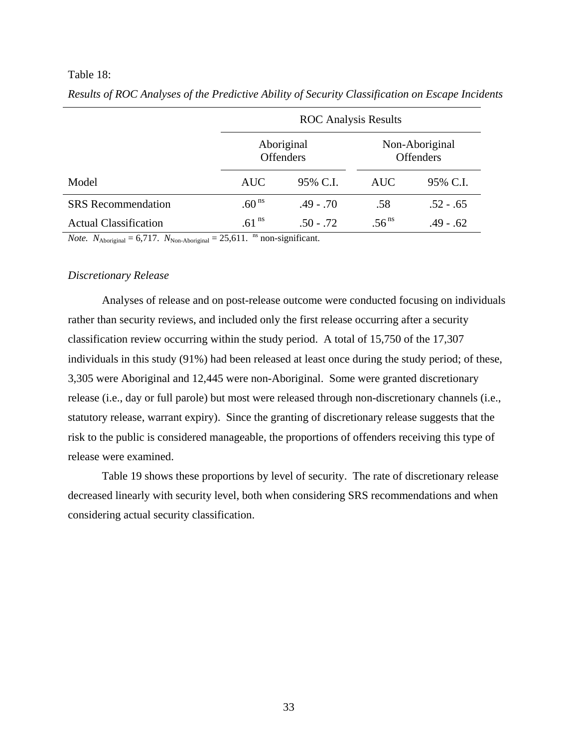## <span id="page-48-0"></span>Table 18:

|                              | <b>ROC</b> Analysis Results |                                |                   |                                    |  |  |  |  |
|------------------------------|-----------------------------|--------------------------------|-------------------|------------------------------------|--|--|--|--|
|                              |                             | Aboriginal<br><b>Offenders</b> |                   | Non-Aboriginal<br><b>Offenders</b> |  |  |  |  |
| Model                        | <b>AUC</b>                  | 95% C.I.                       | <b>AUC</b>        | 95% C.I.                           |  |  |  |  |
| <b>SRS</b> Recommendation    | .60 <sup>ns</sup>           | $.49 - .70$                    | .58               | $.52 - .65$                        |  |  |  |  |
| <b>Actual Classification</b> | .61 <sup>ns</sup>           | $.50 - .72$                    | .56 <sup>ns</sup> | $.49 - .62$                        |  |  |  |  |

*Results of ROC Analyses of the Predictive Ability of Security Classification on Escape Incidents* 

*Note.*  $N_{\text{Aboriginal}} = 6,717$ .  $N_{\text{Non-Aboriginal}} = 25,611$ . <sup>ns</sup> non-significant.

#### *Discretionary Release*

Analyses of release and on post-release outcome were conducted focusing on individuals rather than security reviews, and included only the first release occurring after a security classification review occurring within the study period. A total of 15,750 of the 17,307 individuals in this study (91%) had been released at least once during the study period; of these, 3,305 were Aboriginal and 12,445 were non-Aboriginal. Some were granted discretionary release (i.e., day or full parole) but most were released through non-discretionary channels (i.e., statutory release, warrant expiry). Since the granting of discretionary release suggests that the risk to the public is considered manageable, the proportions of offenders receiving this type of release were examined.

Table 19 shows these proportions by level of security. The rate of discretionary release decreased linearly with security level, both when considering SRS recommendations and when considering actual security classification.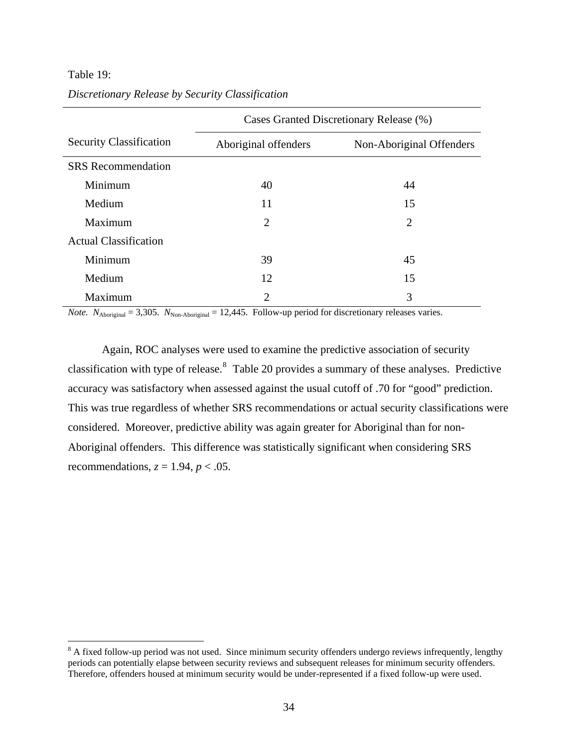# <span id="page-49-0"></span>Table 19:

 $\overline{a}$ 

|                                | Cases Granted Discretionary Release (%) |                          |  |  |  |  |  |  |
|--------------------------------|-----------------------------------------|--------------------------|--|--|--|--|--|--|
| <b>Security Classification</b> | Aboriginal offenders                    | Non-Aboriginal Offenders |  |  |  |  |  |  |
| <b>SRS</b> Recommendation      |                                         |                          |  |  |  |  |  |  |
| Minimum                        | 40                                      | 44                       |  |  |  |  |  |  |
| Medium                         | 11                                      | 15                       |  |  |  |  |  |  |
| Maximum                        | 2                                       | $\overline{2}$           |  |  |  |  |  |  |
| <b>Actual Classification</b>   |                                         |                          |  |  |  |  |  |  |
| Minimum                        | 39                                      | 45                       |  |  |  |  |  |  |
| Medium                         | 12                                      | 15                       |  |  |  |  |  |  |
| Maximum                        | $\overline{c}$                          | 3                        |  |  |  |  |  |  |

# *Discretionary Release by Security Classification*

*Note.*  $N_{\text{Aboriginal}} = 3,305$ .  $N_{\text{Non-Aboriginal}} = 12,445$ . Follow-up period for discretionary releases varies.

Again, ROC analyses were used to examine the predictive association of security classification with type of release. $8$  Table 20 provides a summary of these analyses. Predictive accuracy was satisfactory when assessed against the usual cutoff of .70 for "good" prediction. This was true regardless of whether SRS recommendations or actual security classifications were considered. Moreover, predictive ability was again greater for Aboriginal than for non-Aboriginal offenders. This difference was statistically significant when considering SRS recommendations,  $z = 1.94$ ,  $p < .05$ .

 $8$  A fixed follow-up period was not used. Since minimum security offenders undergo reviews infrequently, lengthy periods can potentially elapse between security reviews and subsequent releases for minimum security offenders. Therefore, offenders housed at minimum security would be under-represented if a fixed follow-up were used.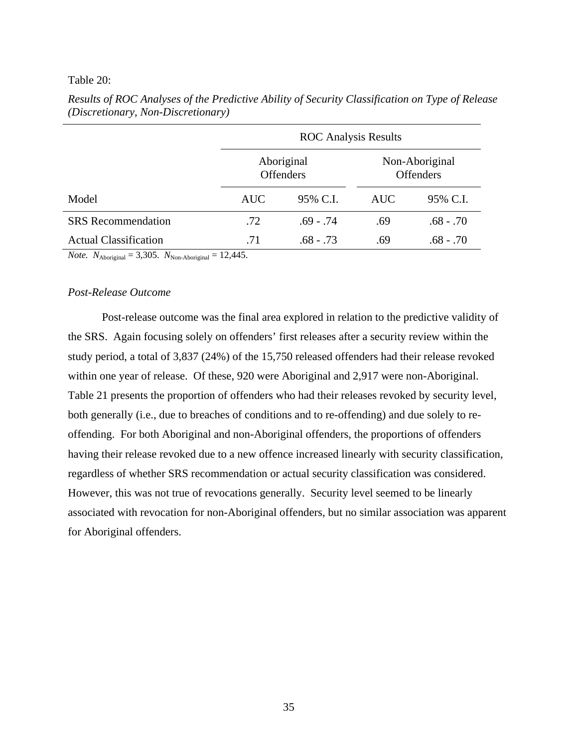#### <span id="page-50-0"></span>Table 20:

|                                    |            | <b>ROC</b> Analysis Results    |                                    |             |  |
|------------------------------------|------------|--------------------------------|------------------------------------|-------------|--|
|                                    |            | Aboriginal<br><b>Offenders</b> | Non-Aboriginal<br><b>Offenders</b> |             |  |
| Model                              | <b>AUC</b> | 95% C.I.                       | <b>AUC</b>                         | 95% C.I.    |  |
| <b>SRS</b> Recommendation          | .72        | $.69 - .74$                    | .69                                | $.68 - .70$ |  |
| <b>Actual Classification</b>       | .71        | $.68 - .73$                    | .69                                | .68 - .70   |  |
| $\mathbf{M}$ $\mathbf{M}$<br>2.205 | 10.117     |                                |                                    |             |  |

*Results of ROC Analyses of the Predictive Ability of Security Classification on Type of Release (Discretionary, Non-Discretionary)* 

*Note.*  $N_{\text{Aboriginal}} = 3,305$ .  $N_{\text{Non-Aboriginal}} = 12,445$ .

# *Post-Release Outcome*

Post-release outcome was the final area explored in relation to the predictive validity of the SRS. Again focusing solely on offenders' first releases after a security review within the study period, a total of 3,837 (24%) of the 15,750 released offenders had their release revoked within one year of release. Of these, 920 were Aboriginal and 2,917 were non-Aboriginal. Table 21 presents the proportion of offenders who had their releases revoked by security level, both generally (i.e., due to breaches of conditions and to re-offending) and due solely to reoffending. For both Aboriginal and non-Aboriginal offenders, the proportions of offenders having their release revoked due to a new offence increased linearly with security classification, regardless of whether SRS recommendation or actual security classification was considered. However, this was not true of revocations generally. Security level seemed to be linearly associated with revocation for non-Aboriginal offenders, but no similar association was apparent for Aboriginal offenders.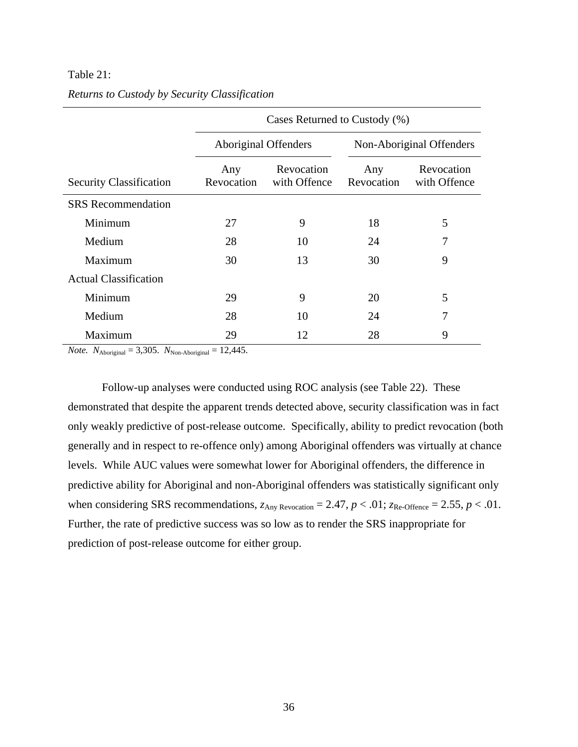# <span id="page-51-0"></span>Table 21:

|                                | Cases Returned to Custody (%) |                            |                   |                            |  |  |  |  |  |  |
|--------------------------------|-------------------------------|----------------------------|-------------------|----------------------------|--|--|--|--|--|--|
|                                | Aboriginal Offenders          |                            |                   | Non-Aboriginal Offenders   |  |  |  |  |  |  |
| <b>Security Classification</b> | Any<br>Revocation             | Revocation<br>with Offence | Any<br>Revocation | Revocation<br>with Offence |  |  |  |  |  |  |
| <b>SRS</b> Recommendation      |                               |                            |                   |                            |  |  |  |  |  |  |
| Minimum                        | 27                            | 9                          | 18                | 5                          |  |  |  |  |  |  |
| Medium                         | 28                            | 10                         | 24                | 7                          |  |  |  |  |  |  |
| Maximum                        | 30                            | 13                         | 30                | 9                          |  |  |  |  |  |  |
| <b>Actual Classification</b>   |                               |                            |                   |                            |  |  |  |  |  |  |
| Minimum                        | 29                            | 9                          | 20                | 5                          |  |  |  |  |  |  |
| Medium                         | 28                            | 10                         | 24                | 7                          |  |  |  |  |  |  |
| Maximum                        | 29                            | 12                         | 28                | 9                          |  |  |  |  |  |  |

# *Returns to Custody by Security Classification*

*Note.*  $N_{\text{Aboriginal}} = 3,305$ .  $N_{\text{Non-Aboriginal}} = 12,445$ .

Follow-up analyses were conducted using ROC analysis (see Table 22). These demonstrated that despite the apparent trends detected above, security classification was in fact only weakly predictive of post-release outcome. Specifically, ability to predict revocation (both generally and in respect to re-offence only) among Aboriginal offenders was virtually at chance levels. While AUC values were somewhat lower for Aboriginal offenders, the difference in predictive ability for Aboriginal and non-Aboriginal offenders was statistically significant only when considering SRS recommendations,  $z_{\text{Any Revocation}} = 2.47$ ,  $p < .01$ ;  $z_{\text{Re-Offence}} = 2.55$ ,  $p < .01$ . Further, the rate of predictive success was so low as to render the SRS inappropriate for prediction of post-release outcome for either group.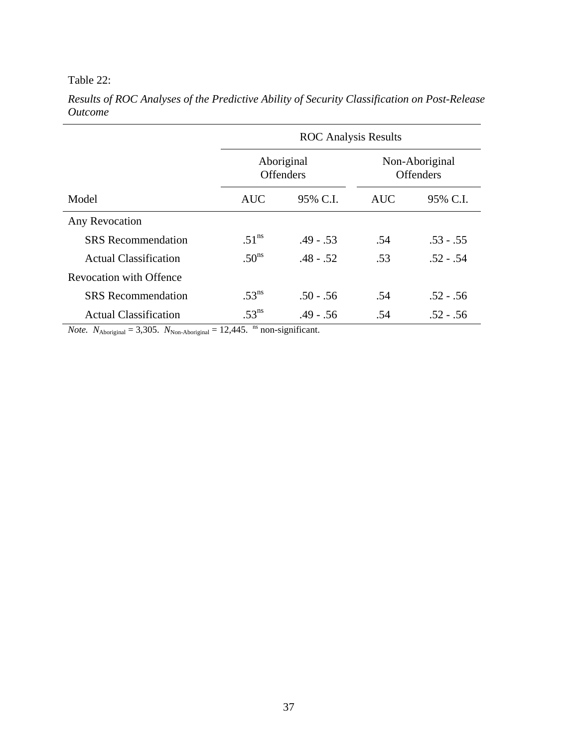# <span id="page-52-0"></span>Table 22:

|                                | <b>ROC</b> Analysis Results |                                |            |                                    |  |  |  |  |
|--------------------------------|-----------------------------|--------------------------------|------------|------------------------------------|--|--|--|--|
|                                |                             | Aboriginal<br><b>Offenders</b> |            | Non-Aboriginal<br><b>Offenders</b> |  |  |  |  |
| Model                          | <b>AUC</b>                  | 95% C.I.                       | <b>AUC</b> | 95% C.I.                           |  |  |  |  |
| Any Revocation                 |                             |                                |            |                                    |  |  |  |  |
| <b>SRS</b> Recommendation      | $.51^{\text{ns}}$           | $.49 - .53$                    | .54        | $.53 - .55$                        |  |  |  |  |
| <b>Actual Classification</b>   | .50 <sup>ns</sup>           | $.48 - .52$                    | .53        | $.52 - .54$                        |  |  |  |  |
| <b>Revocation with Offence</b> |                             |                                |            |                                    |  |  |  |  |
| <b>SRS</b> Recommendation      | $.53^{\text{ns}}$           | $.50 - .56$                    | .54        | $.52 - .56$                        |  |  |  |  |
| <b>Actual Classification</b>   | $.53^{\text{ns}}$           | $.49 - .56$                    | .54        | $.52 - .56$                        |  |  |  |  |

*Results of ROC Analyses of the Predictive Ability of Security Classification on Post-Release Outcome* 

*Note.*  $N_{\text{Aboriginal}} = 3,305$ .  $N_{\text{Non-Aboriginal}} = 12,445$ . <sup>ns</sup> non-significant.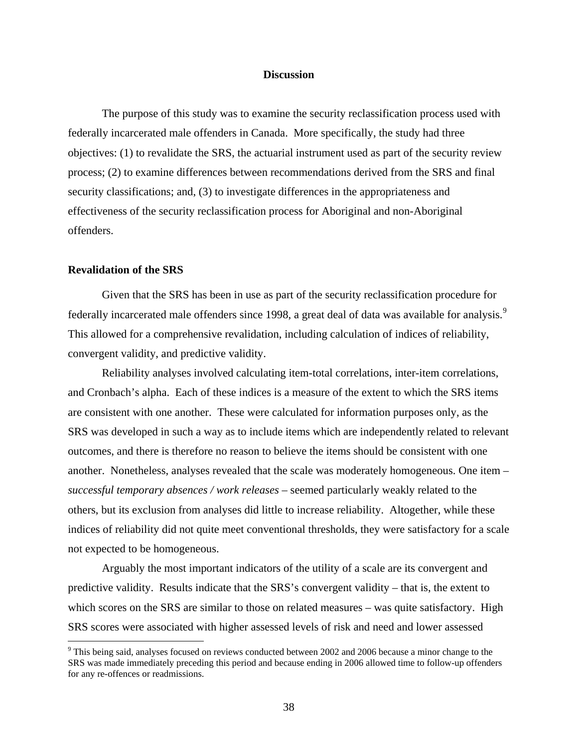#### **Discussion**

<span id="page-53-0"></span>The purpose of this study was to examine the security reclassification process used with federally incarcerated male offenders in Canada. More specifically, the study had three objectives: (1) to revalidate the SRS, the actuarial instrument used as part of the security review process; (2) to examine differences between recommendations derived from the SRS and final security classifications; and, (3) to investigate differences in the appropriateness and effectiveness of the security reclassification process for Aboriginal and non-Aboriginal offenders.

#### **Revalidation of the SRS**

1

Given that the SRS has been in use as part of the security reclassification procedure for federally incarcerated male offenders since 1[9](#page-53-0)98, a great deal of data was available for analysis.<sup>9</sup> This allowed for a comprehensive revalidation, including calculation of indices of reliability, convergent validity, and predictive validity.

Reliability analyses involved calculating item-total correlations, inter-item correlations, and Cronbach's alpha. Each of these indices is a measure of the extent to which the SRS items are consistent with one another. These were calculated for information purposes only, as the SRS was developed in such a way as to include items which are independently related to relevant outcomes, and there is therefore no reason to believe the items should be consistent with one another. Nonetheless, analyses revealed that the scale was moderately homogeneous. One item – *successful temporary absences / work releases* – seemed particularly weakly related to the others, but its exclusion from analyses did little to increase reliability. Altogether, while these indices of reliability did not quite meet conventional thresholds, they were satisfactory for a scale not expected to be homogeneous.

Arguably the most important indicators of the utility of a scale are its convergent and predictive validity. Results indicate that the SRS's convergent validity – that is, the extent to which scores on the SRS are similar to those on related measures – was quite satisfactory. High SRS scores were associated with higher assessed levels of risk and need and lower assessed

 $9$  This being said, analyses focused on reviews conducted between 2002 and 2006 because a minor change to the SRS was made immediately preceding this period and because ending in 2006 allowed time to follow-up offenders for any re-offences or readmissions.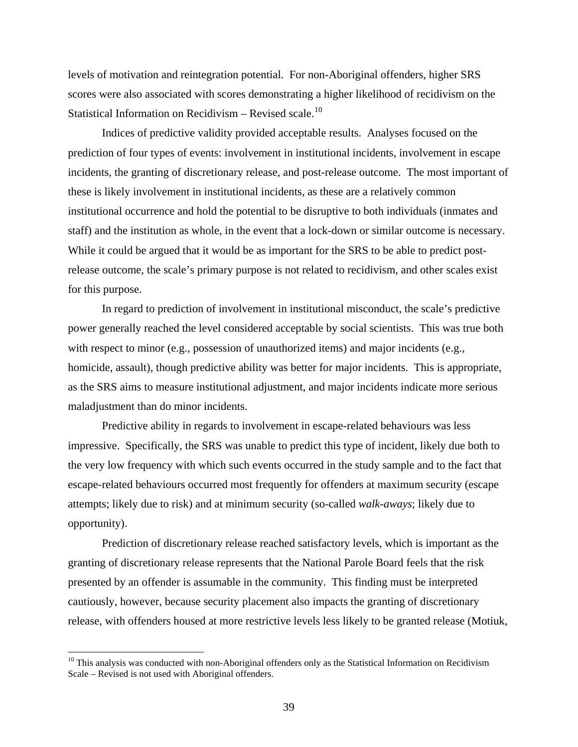<span id="page-54-0"></span>levels of motivation and reintegration potential. For non-Aboriginal offenders, higher SRS scores were also associated with scores demonstrating a higher likelihood of recidivism on the Statistical Information on Recidivism – Revised scale.<sup>[10](#page-54-0)</sup>

Indices of predictive validity provided acceptable results. Analyses focused on the prediction of four types of events: involvement in institutional incidents, involvement in escape incidents, the granting of discretionary release, and post-release outcome. The most important of these is likely involvement in institutional incidents, as these are a relatively common institutional occurrence and hold the potential to be disruptive to both individuals (inmates and staff) and the institution as whole, in the event that a lock-down or similar outcome is necessary. While it could be argued that it would be as important for the SRS to be able to predict postrelease outcome, the scale's primary purpose is not related to recidivism, and other scales exist for this purpose.

In regard to prediction of involvement in institutional misconduct, the scale's predictive power generally reached the level considered acceptable by social scientists. This was true both with respect to minor (e.g., possession of unauthorized items) and major incidents (e.g., homicide, assault), though predictive ability was better for major incidents. This is appropriate, as the SRS aims to measure institutional adjustment, and major incidents indicate more serious maladjustment than do minor incidents.

Predictive ability in regards to involvement in escape-related behaviours was less impressive. Specifically, the SRS was unable to predict this type of incident, likely due both to the very low frequency with which such events occurred in the study sample and to the fact that escape-related behaviours occurred most frequently for offenders at maximum security (escape attempts; likely due to risk) and at minimum security (so-called *walk-aways*; likely due to opportunity).

Prediction of discretionary release reached satisfactory levels, which is important as the granting of discretionary release represents that the National Parole Board feels that the risk presented by an offender is assumable in the community. This finding must be interpreted cautiously, however, because security placement also impacts the granting of discretionary release, with offenders housed at more restrictive levels less likely to be granted release (Motiuk,

 $\overline{a}$ 

<sup>&</sup>lt;sup>10</sup> This analysis was conducted with non-Aboriginal offenders only as the Statistical Information on Recidivism Scale – Revised is not used with Aboriginal offenders.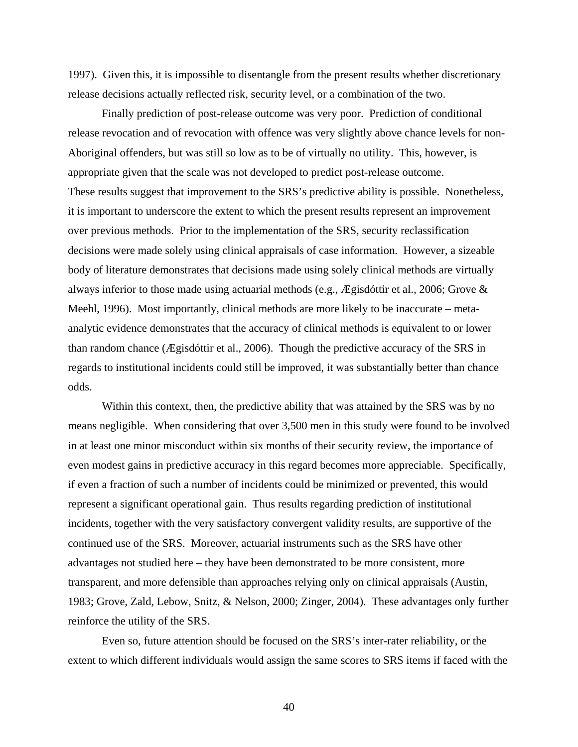1997). Given this, it is impossible to disentangle from the present results whether discretionary release decisions actually reflected risk, security level, or a combination of the two.

Finally prediction of post-release outcome was very poor. Prediction of conditional release revocation and of revocation with offence was very slightly above chance levels for non-Aboriginal offenders, but was still so low as to be of virtually no utility. This, however, is appropriate given that the scale was not developed to predict post-release outcome. These results suggest that improvement to the SRS's predictive ability is possible. Nonetheless, it is important to underscore the extent to which the present results represent an improvement over previous methods. Prior to the implementation of the SRS, security reclassification decisions were made solely using clinical appraisals of case information. However, a sizeable body of literature demonstrates that decisions made using solely clinical methods are virtually always inferior to those made using actuarial methods (e.g., Ægisdóttir et al., 2006; Grove & Meehl, 1996). Most importantly, clinical methods are more likely to be inaccurate – metaanalytic evidence demonstrates that the accuracy of clinical methods is equivalent to or lower than random chance (Ægisdóttir et al., 2006). Though the predictive accuracy of the SRS in regards to institutional incidents could still be improved, it was substantially better than chance odds.

Within this context, then, the predictive ability that was attained by the SRS was by no means negligible. When considering that over 3,500 men in this study were found to be involved in at least one minor misconduct within six months of their security review, the importance of even modest gains in predictive accuracy in this regard becomes more appreciable. Specifically, if even a fraction of such a number of incidents could be minimized or prevented, this would represent a significant operational gain. Thus results regarding prediction of institutional incidents, together with the very satisfactory convergent validity results, are supportive of the continued use of the SRS. Moreover, actuarial instruments such as the SRS have other advantages not studied here – they have been demonstrated to be more consistent, more transparent, and more defensible than approaches relying only on clinical appraisals (Austin, 1983; Grove, Zald, Lebow, Snitz, & Nelson, 2000; Zinger, 2004). These advantages only further reinforce the utility of the SRS.

Even so, future attention should be focused on the SRS's inter-rater reliability, or the extent to which different individuals would assign the same scores to SRS items if faced with the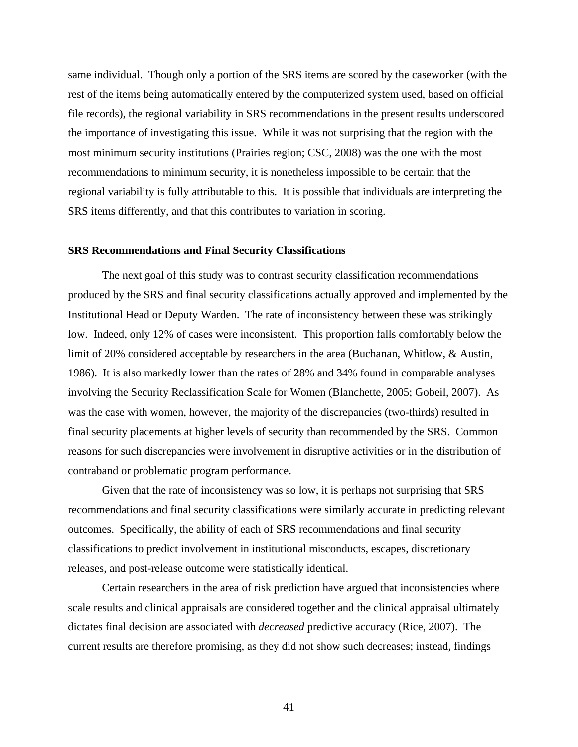<span id="page-56-0"></span>same individual. Though only a portion of the SRS items are scored by the caseworker (with the rest of the items being automatically entered by the computerized system used, based on official file records), the regional variability in SRS recommendations in the present results underscored the importance of investigating this issue. While it was not surprising that the region with the most minimum security institutions (Prairies region; CSC, 2008) was the one with the most recommendations to minimum security, it is nonetheless impossible to be certain that the regional variability is fully attributable to this. It is possible that individuals are interpreting the SRS items differently, and that this contributes to variation in scoring.

#### **SRS Recommendations and Final Security Classifications**

The next goal of this study was to contrast security classification recommendations produced by the SRS and final security classifications actually approved and implemented by the Institutional Head or Deputy Warden. The rate of inconsistency between these was strikingly low. Indeed, only 12% of cases were inconsistent. This proportion falls comfortably below the limit of 20% considered acceptable by researchers in the area (Buchanan, Whitlow, & Austin, 1986). It is also markedly lower than the rates of 28% and 34% found in comparable analyses involving the Security Reclassification Scale for Women (Blanchette, 2005; Gobeil, 2007). As was the case with women, however, the majority of the discrepancies (two-thirds) resulted in final security placements at higher levels of security than recommended by the SRS. Common reasons for such discrepancies were involvement in disruptive activities or in the distribution of contraband or problematic program performance.

Given that the rate of inconsistency was so low, it is perhaps not surprising that SRS recommendations and final security classifications were similarly accurate in predicting relevant outcomes. Specifically, the ability of each of SRS recommendations and final security classifications to predict involvement in institutional misconducts, escapes, discretionary releases, and post-release outcome were statistically identical.

Certain researchers in the area of risk prediction have argued that inconsistencies where scale results and clinical appraisals are considered together and the clinical appraisal ultimately dictates final decision are associated with *decreased* predictive accuracy (Rice, 2007). The current results are therefore promising, as they did not show such decreases; instead, findings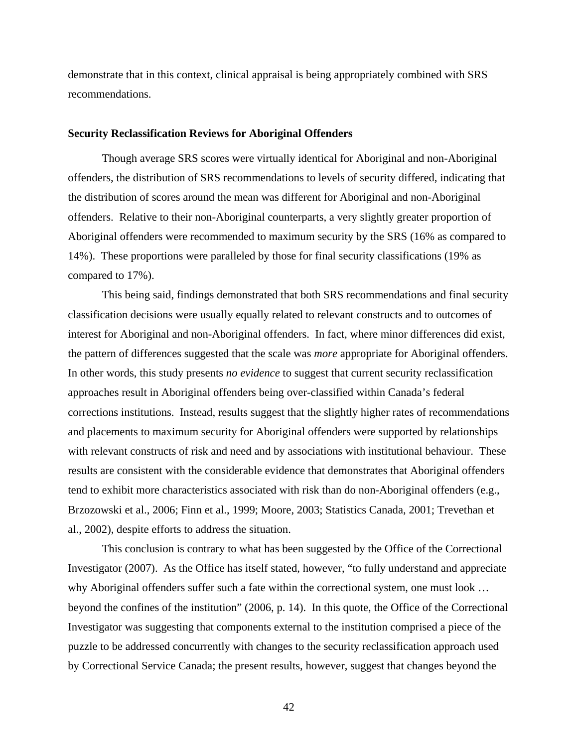<span id="page-57-0"></span>demonstrate that in this context, clinical appraisal is being appropriately combined with SRS recommendations.

#### **Security Reclassification Reviews for Aboriginal Offenders**

Though average SRS scores were virtually identical for Aboriginal and non-Aboriginal offenders, the distribution of SRS recommendations to levels of security differed, indicating that the distribution of scores around the mean was different for Aboriginal and non-Aboriginal offenders. Relative to their non-Aboriginal counterparts, a very slightly greater proportion of Aboriginal offenders were recommended to maximum security by the SRS (16% as compared to 14%). These proportions were paralleled by those for final security classifications (19% as compared to 17%).

This being said, findings demonstrated that both SRS recommendations and final security classification decisions were usually equally related to relevant constructs and to outcomes of interest for Aboriginal and non-Aboriginal offenders. In fact, where minor differences did exist, the pattern of differences suggested that the scale was *more* appropriate for Aboriginal offenders. In other words, this study presents *no evidence* to suggest that current security reclassification approaches result in Aboriginal offenders being over-classified within Canada's federal corrections institutions. Instead, results suggest that the slightly higher rates of recommendations and placements to maximum security for Aboriginal offenders were supported by relationships with relevant constructs of risk and need and by associations with institutional behaviour. These results are consistent with the considerable evidence that demonstrates that Aboriginal offenders tend to exhibit more characteristics associated with risk than do non-Aboriginal offenders (e.g., Brzozowski et al., 2006; Finn et al., 1999; Moore, 2003; Statistics Canada, 2001; Trevethan et al., 2002), despite efforts to address the situation.

This conclusion is contrary to what has been suggested by the Office of the Correctional Investigator (2007). As the Office has itself stated, however, "to fully understand and appreciate why Aboriginal offenders suffer such a fate within the correctional system, one must look … beyond the confines of the institution" (2006, p. 14). In this quote, the Office of the Correctional Investigator was suggesting that components external to the institution comprised a piece of the puzzle to be addressed concurrently with changes to the security reclassification approach used by Correctional Service Canada; the present results, however, suggest that changes beyond the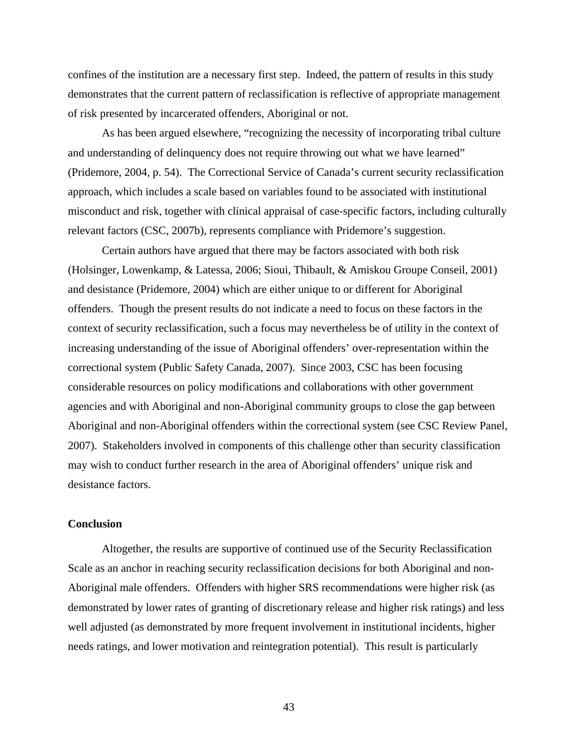<span id="page-58-0"></span>confines of the institution are a necessary first step. Indeed, the pattern of results in this study demonstrates that the current pattern of reclassification is reflective of appropriate management of risk presented by incarcerated offenders, Aboriginal or not.

As has been argued elsewhere, "recognizing the necessity of incorporating tribal culture and understanding of delinquency does not require throwing out what we have learned" (Pridemore, 2004, p. 54). The Correctional Service of Canada's current security reclassification approach, which includes a scale based on variables found to be associated with institutional misconduct and risk, together with clinical appraisal of case-specific factors, including culturally relevant factors (CSC, 2007b), represents compliance with Pridemore's suggestion.

Certain authors have argued that there may be factors associated with both risk (Holsinger, Lowenkamp, & Latessa, 2006; Sioui, Thibault, & Amiskou Groupe Conseil, 2001) and desistance (Pridemore, 2004) which are either unique to or different for Aboriginal offenders. Though the present results do not indicate a need to focus on these factors in the context of security reclassification, such a focus may nevertheless be of utility in the context of increasing understanding of the issue of Aboriginal offenders' over-representation within the correctional system (Public Safety Canada, 2007). Since 2003, CSC has been focusing considerable resources on policy modifications and collaborations with other government agencies and with Aboriginal and non-Aboriginal community groups to close the gap between Aboriginal and non-Aboriginal offenders within the correctional system (see CSC Review Panel, 2007). Stakeholders involved in components of this challenge other than security classification may wish to conduct further research in the area of Aboriginal offenders' unique risk and desistance factors.

# **Conclusion**

Altogether, the results are supportive of continued use of the Security Reclassification Scale as an anchor in reaching security reclassification decisions for both Aboriginal and non-Aboriginal male offenders. Offenders with higher SRS recommendations were higher risk (as demonstrated by lower rates of granting of discretionary release and higher risk ratings) and less well adjusted (as demonstrated by more frequent involvement in institutional incidents, higher needs ratings, and lower motivation and reintegration potential). This result is particularly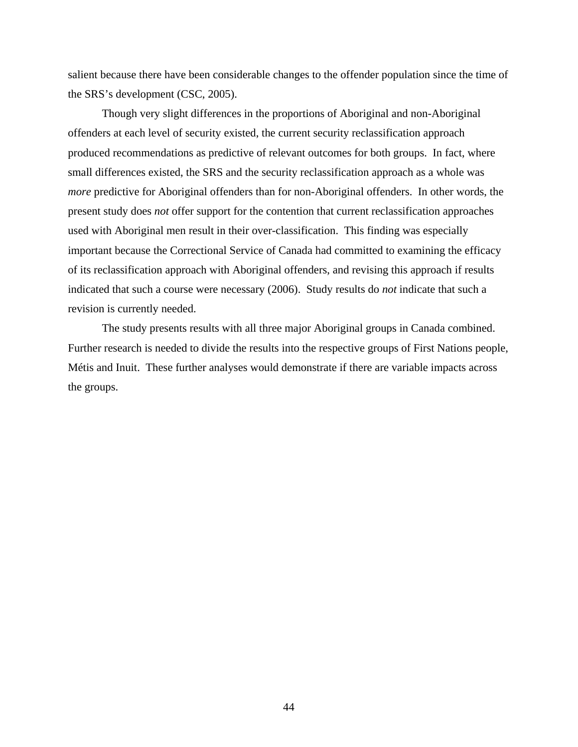salient because there have been considerable changes to the offender population since the time of the SRS's development (CSC, 2005).

Though very slight differences in the proportions of Aboriginal and non-Aboriginal offenders at each level of security existed, the current security reclassification approach produced recommendations as predictive of relevant outcomes for both groups. In fact, where small differences existed, the SRS and the security reclassification approach as a whole was *more* predictive for Aboriginal offenders than for non-Aboriginal offenders. In other words, the present study does *not* offer support for the contention that current reclassification approaches used with Aboriginal men result in their over-classification. This finding was especially important because the Correctional Service of Canada had committed to examining the efficacy of its reclassification approach with Aboriginal offenders, and revising this approach if results indicated that such a course were necessary (2006). Study results do *not* indicate that such a revision is currently needed.

The study presents results with all three major Aboriginal groups in Canada combined. Further research is needed to divide the results into the respective groups of First Nations people, Métis and Inuit. These further analyses would demonstrate if there are variable impacts across the groups.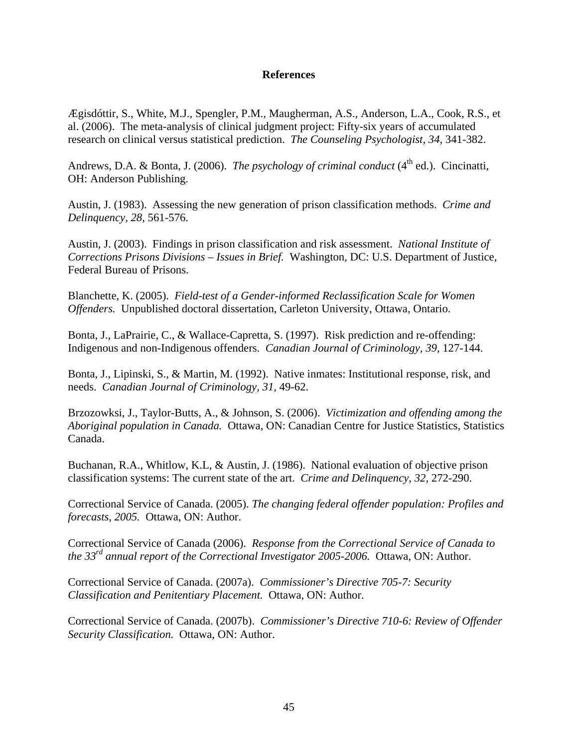# **References**

<span id="page-60-0"></span>Ægisdóttir, S., White, M.J., Spengler, P.M., Maugherman, A.S., Anderson, L.A., Cook, R.S., et al. (2006). The meta-analysis of clinical judgment project: Fifty-six years of accumulated research on clinical versus statistical prediction. *The Counseling Psychologist, 34,* 341-382.

Andrews, D.A. & Bonta, J. (2006). *The psychology of criminal conduct* (4<sup>th</sup> ed.). Cincinatti, OH: Anderson Publishing.

Austin, J. (1983). Assessing the new generation of prison classification methods. *Crime and Delinquency, 28,* 561-576.

Austin, J. (2003). Findings in prison classification and risk assessment. *National Institute of Corrections Prisons Divisions – Issues in Brief.* Washington, DC: U.S. Department of Justice, Federal Bureau of Prisons.

Blanchette, K. (2005). *Field-test of a Gender-informed Reclassification Scale for Women Offenders.* Unpublished doctoral dissertation, Carleton University, Ottawa, Ontario.

Bonta, J., LaPrairie, C., & Wallace-Capretta, S. (1997). Risk prediction and re-offending: Indigenous and non-Indigenous offenders. *Canadian Journal of Criminology, 39,* 127-144.

Bonta, J., Lipinski, S., & Martin, M. (1992). Native inmates: Institutional response, risk, and needs. *Canadian Journal of Criminology, 31,* 49-62.

Brzozowksi, J., Taylor-Butts, A., & Johnson, S. (2006). *Victimization and offending among the Aboriginal population in Canada.* Ottawa, ON: Canadian Centre for Justice Statistics, Statistics Canada.

Buchanan, R.A., Whitlow, K.L, & Austin, J. (1986). National evaluation of objective prison classification systems: The current state of the art. *Crime and Delinquency, 32,* 272-290.

Correctional Service of Canada. (2005). *The changing federal offender population: Profiles and forecasts, 2005.* Ottawa, ON: Author.

Correctional Service of Canada (2006). *Response from the Correctional Service of Canada to the 33rd annual report of the Correctional Investigator 2005-2006.* Ottawa, ON: Author.

Correctional Service of Canada. (2007a). *Commissioner's Directive 705-7: Security Classification and Penitentiary Placement.* Ottawa, ON: Author.

Correctional Service of Canada. (2007b). *Commissioner's Directive 710-6: Review of Offender Security Classification.* Ottawa, ON: Author.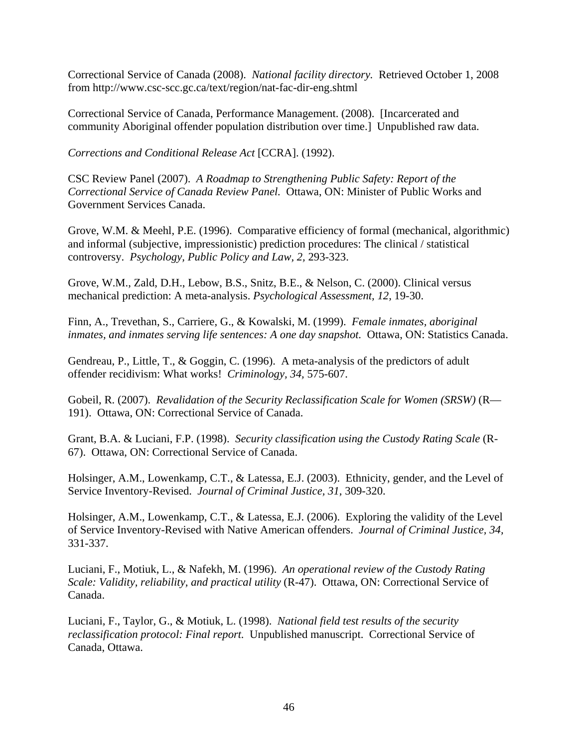Correctional Service of Canada (2008). *National facility directory.* Retrieved October 1, 2008 from http://www.csc-scc.gc.ca/text/region/nat-fac-dir-eng.shtml

Correctional Service of Canada, Performance Management. (2008). [Incarcerated and community Aboriginal offender population distribution over time.] Unpublished raw data.

*Corrections and Conditional Release Act* [CCRA]. (1992).

CSC Review Panel (2007). *A Roadmap to Strengthening Public Safety: Report of the Correctional Service of Canada Review Panel.* Ottawa, ON: Minister of Public Works and Government Services Canada.

Grove, W.M. & Meehl, P.E. (1996). Comparative efficiency of formal (mechanical, algorithmic) and informal (subjective, impressionistic) prediction procedures: The clinical / statistical controversy. *Psychology, Public Policy and Law, 2,* 293-323.

Grove, W.M., Zald, D.H., Lebow, B.S., Snitz, B.E., & Nelson, C. (2000). Clinical versus mechanical prediction: A meta-analysis. *Psychological Assessment, 12,* 19-30.

Finn, A., Trevethan, S., Carriere, G., & Kowalski, M. (1999). *Female inmates, aboriginal inmates, and inmates serving life sentences: A one day snapshot.* Ottawa, ON: Statistics Canada.

Gendreau, P., Little, T., & Goggin, C. (1996). A meta-analysis of the predictors of adult offender recidivism: What works! *Criminology, 34,* 575-607.

Gobeil, R. (2007). *Revalidation of the Security Reclassification Scale for Women (SRSW)* (R— 191). Ottawa, ON: Correctional Service of Canada.

Grant, B.A. & Luciani, F.P. (1998). *Security classification using the Custody Rating Scale* (R-67). Ottawa, ON: Correctional Service of Canada.

Holsinger, A.M., Lowenkamp, C.T., & Latessa, E.J. (2003). Ethnicity, gender, and the Level of Service Inventory-Revised. *Journal of Criminal Justice, 31,* 309-320.

Holsinger, A.M., Lowenkamp, C.T., & Latessa, E.J. (2006). Exploring the validity of the Level of Service Inventory-Revised with Native American offenders. *Journal of Criminal Justice, 34,*  331-337.

Luciani, F., Motiuk, L., & Nafekh, M. (1996). *An operational review of the Custody Rating Scale: Validity, reliability, and practical utility* (R-47). Ottawa, ON: Correctional Service of Canada.

Luciani, F., Taylor, G., & Motiuk, L. (1998). *National field test results of the security reclassification protocol: Final report.* Unpublished manuscript. Correctional Service of Canada, Ottawa.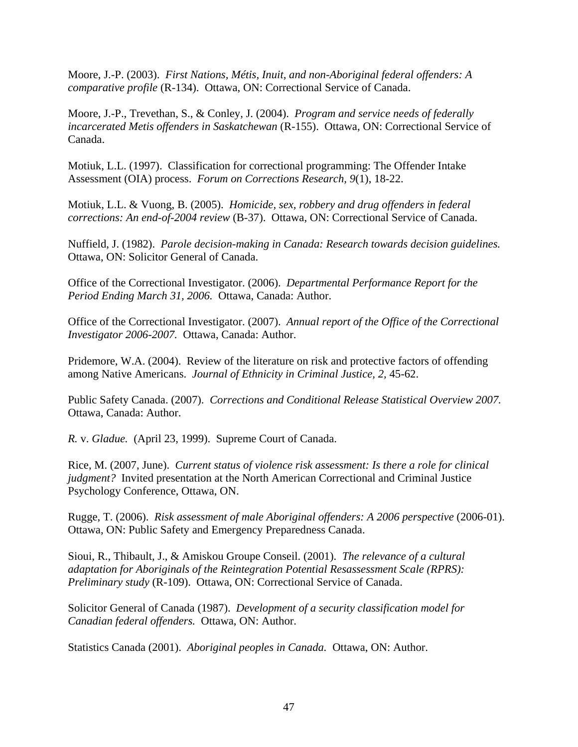Moore, J.-P. (2003). *First Nations, Métis, Inuit, and non-Aboriginal federal offenders: A comparative profile* (R-134). Ottawa, ON: Correctional Service of Canada.

Moore, J.-P., Trevethan, S., & Conley, J. (2004). *Program and service needs of federally incarcerated Metis offenders in Saskatchewan* (R-155). Ottawa, ON: Correctional Service of Canada.

Motiuk, L.L. (1997). Classification for correctional programming: The Offender Intake Assessment (OIA) process. *Forum on Corrections Research, 9*(1), 18-22.

Motiuk, L.L. & Vuong, B. (2005). *Homicide, sex, robbery and drug offenders in federal corrections: An end-of-2004 review* (B-37). Ottawa, ON: Correctional Service of Canada.

Nuffield, J. (1982). *Parole decision-making in Canada: Research towards decision guidelines.*  Ottawa, ON: Solicitor General of Canada.

Office of the Correctional Investigator. (2006). *Departmental Performance Report for the Period Ending March 31, 2006.* Ottawa, Canada: Author.

Office of the Correctional Investigator. (2007). *Annual report of the Office of the Correctional Investigator 2006-2007.* Ottawa, Canada: Author.

Pridemore, W.A. (2004). Review of the literature on risk and protective factors of offending among Native Americans. *Journal of Ethnicity in Criminal Justice, 2,* 45-62.

Public Safety Canada. (2007). *Corrections and Conditional Release Statistical Overview 2007.*  Ottawa, Canada: Author.

*R.* v. *Gladue.* (April 23, 1999). Supreme Court of Canada.

Rice, M. (2007, June). *Current status of violence risk assessment: Is there a role for clinical judgment?* Invited presentation at the North American Correctional and Criminal Justice Psychology Conference, Ottawa, ON.

Rugge, T. (2006). *Risk assessment of male Aboriginal offenders: A 2006 perspective* (2006-01). Ottawa, ON: Public Safety and Emergency Preparedness Canada.

Sioui, R., Thibault, J., & Amiskou Groupe Conseil. (2001). *The relevance of a cultural adaptation for Aboriginals of the Reintegration Potential Resassessment Scale (RPRS): Preliminary study* (R-109). Ottawa, ON: Correctional Service of Canada.

Solicitor General of Canada (1987). *Development of a security classification model for Canadian federal offenders.* Ottawa, ON: Author.

Statistics Canada (2001). *Aboriginal peoples in Canada.* Ottawa, ON: Author.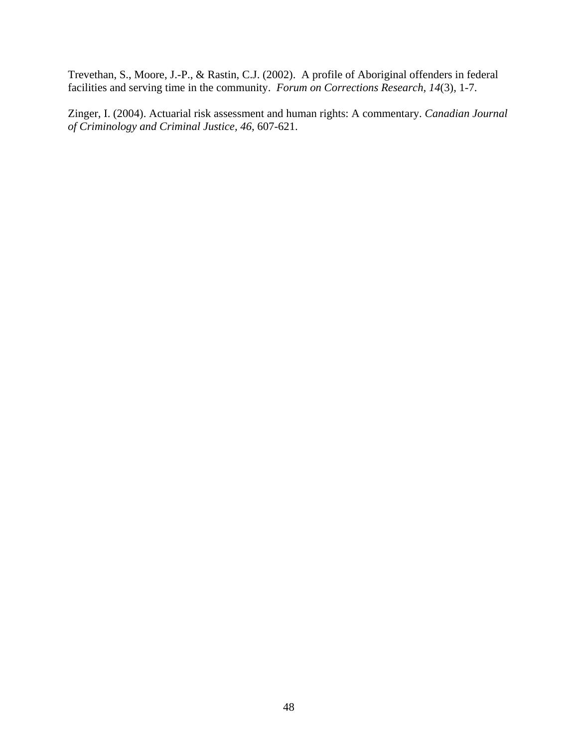Trevethan, S., Moore, J.-P., & Rastin, C.J. (2002). A profile of Aboriginal offenders in federal facilities and serving time in the community. *Forum on Corrections Research, 14*(3), 1-7.

Zinger, I. (2004). Actuarial risk assessment and human rights: A commentary. *Canadian Journal of Criminology and Criminal Justice, 46,* 607-621.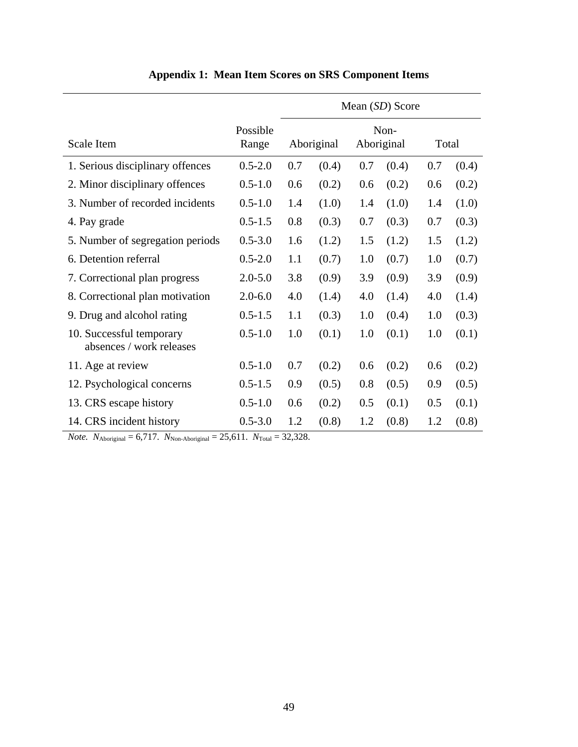<span id="page-64-0"></span>

|                                                      |                   | Mean (SD) Score |                                  |     |       |       |       |  |  |
|------------------------------------------------------|-------------------|-----------------|----------------------------------|-----|-------|-------|-------|--|--|
| Scale Item                                           | Possible<br>Range |                 | Non-<br>Aboriginal<br>Aboriginal |     |       | Total |       |  |  |
| 1. Serious disciplinary offences                     | $0.5 - 2.0$       | 0.7             | (0.4)                            | 0.7 | (0.4) | 0.7   | (0.4) |  |  |
| 2. Minor disciplinary offences                       | $0.5 - 1.0$       | 0.6             | (0.2)                            | 0.6 | (0.2) | 0.6   | (0.2) |  |  |
| 3. Number of recorded incidents                      | $0.5 - 1.0$       | 1.4             | (1.0)                            | 1.4 | (1.0) | 1.4   | (1.0) |  |  |
| 4. Pay grade                                         | $0.5 - 1.5$       | 0.8             | (0.3)                            | 0.7 | (0.3) | 0.7   | (0.3) |  |  |
| 5. Number of segregation periods                     | $0.5 - 3.0$       | 1.6             | (1.2)                            | 1.5 | (1.2) | 1.5   | (1.2) |  |  |
| 6. Detention referral                                | $0.5 - 2.0$       | 1.1             | (0.7)                            | 1.0 | (0.7) | 1.0   | (0.7) |  |  |
| 7. Correctional plan progress                        | $2.0 - 5.0$       | 3.8             | (0.9)                            | 3.9 | (0.9) | 3.9   | (0.9) |  |  |
| 8. Correctional plan motivation                      | $2.0 - 6.0$       | 4.0             | (1.4)                            | 4.0 | (1.4) | 4.0   | (1.4) |  |  |
| 9. Drug and alcohol rating                           | $0.5 - 1.5$       | 1.1             | (0.3)                            | 1.0 | (0.4) | 1.0   | (0.3) |  |  |
| 10. Successful temporary<br>absences / work releases | $0.5 - 1.0$       | 1.0             | (0.1)                            | 1.0 | (0.1) | 1.0   | (0.1) |  |  |
| 11. Age at review                                    | $0.5 - 1.0$       | 0.7             | (0.2)                            | 0.6 | (0.2) | 0.6   | (0.2) |  |  |
| 12. Psychological concerns                           | $0.5 - 1.5$       | 0.9             | (0.5)                            | 0.8 | (0.5) | 0.9   | (0.5) |  |  |
| 13. CRS escape history                               | $0.5 - 1.0$       | 0.6             | (0.2)                            | 0.5 | (0.1) | 0.5   | (0.1) |  |  |
| 14. CRS incident history                             | $0.5 - 3.0$       | 1.2             | (0.8)                            | 1.2 | (0.8) | 1.2   | (0.8) |  |  |

# **Appendix 1: Mean Item Scores on SRS Component Items**

*Note.*  $N_{\text{Aboriginal}} = 6,717.$   $N_{\text{Non-Aboriginal}} = 25,611.$   $N_{\text{Total}} = 32,328.$